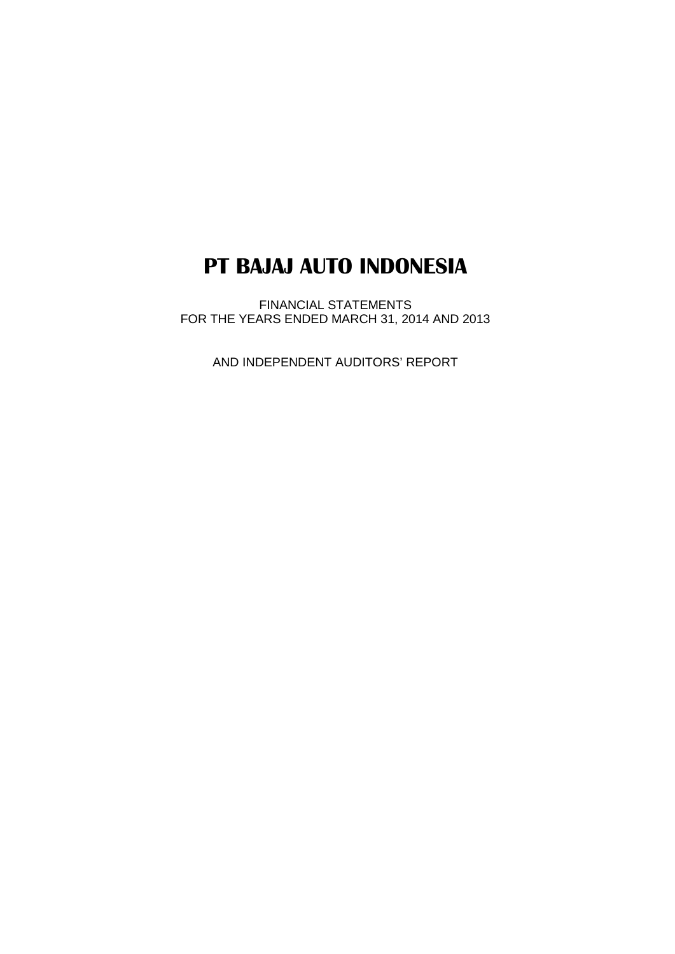FINANCIAL STATEMENTS FOR THE YEARS ENDED MARCH 31, 2014 AND 2013

AND INDEPENDENT AUDITORS' REPORT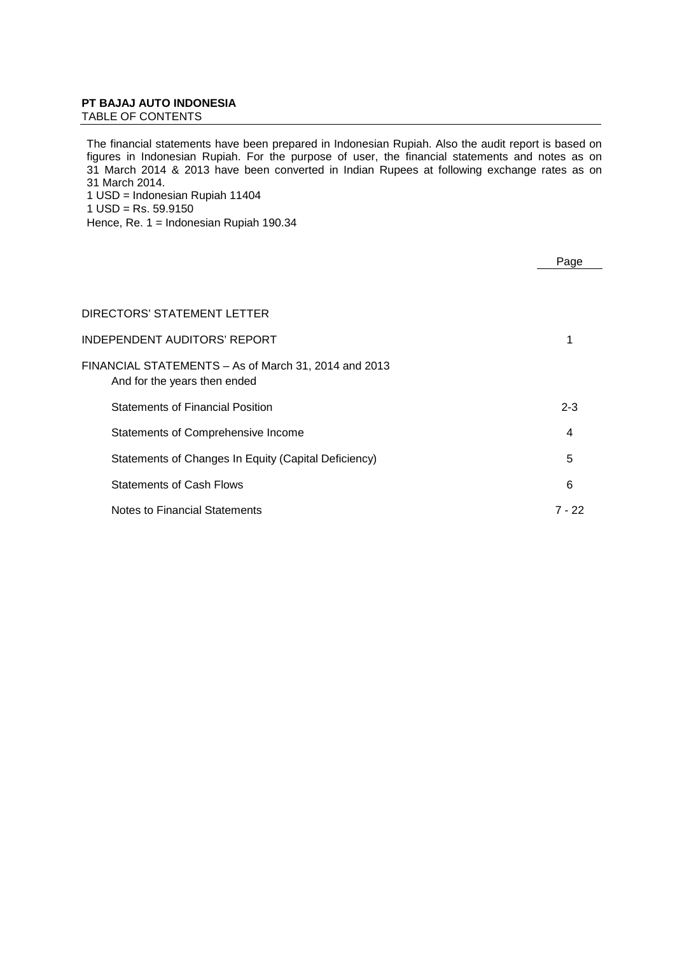TABLE OF CONTENTS

The financial statements have been prepared in Indonesian Rupiah. Also the audit report is based on figures in Indonesian Rupiah. For the purpose of user, the financial statements and notes as on 31 March 2014 & 2013 have been converted in Indian Rupees at following exchange rates as on 31 March 2014. 1 USD = Indonesian Rupiah 11404  $1$  USD = Rs. 59.9150

Hence, Re. 1 = Indonesian Rupiah 190.34

|                                                                                      | Page    |
|--------------------------------------------------------------------------------------|---------|
|                                                                                      |         |
| DIRECTORS' STATEMENT LETTER                                                          |         |
| INDEPENDENT AUDITORS' REPORT                                                         |         |
| FINANCIAL STATEMENTS - As of March 31, 2014 and 2013<br>And for the years then ended |         |
| <b>Statements of Financial Position</b>                                              | $2 - 3$ |
| Statements of Comprehensive Income                                                   | 4       |
| Statements of Changes In Equity (Capital Deficiency)                                 | 5       |
| <b>Statements of Cash Flows</b>                                                      | 6       |
| Notes to Financial Statements                                                        | 7 - 22  |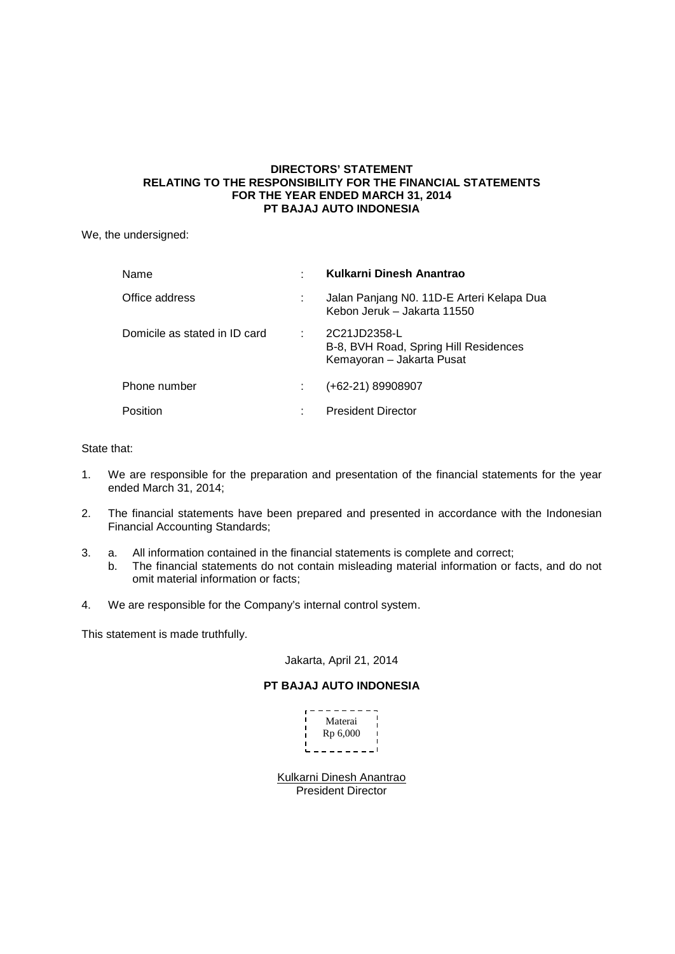## **DIRECTORS' STATEMENT RELATING TO THE RESPONSIBILITY FOR THE FINANCIAL STATEMENTS FOR THE YEAR ENDED MARCH 31, 2014 PT BAJAJ AUTO INDONESIA**

We, the undersigned:

| Name                          |   | Kulkarni Dinesh Anantrao                                                           |
|-------------------------------|---|------------------------------------------------------------------------------------|
| Office address                |   | Jalan Panjang N0. 11D-E Arteri Kelapa Dua<br>Kebon Jeruk – Jakarta 11550           |
| Domicile as stated in ID card |   | 2C21JD2358-L<br>B-8, BVH Road, Spring Hill Residences<br>Kemayoran - Jakarta Pusat |
| Phone number                  |   | (+62-21) 89908907                                                                  |
| Position                      | ÷ | <b>President Director</b>                                                          |

## State that:

- 1. We are responsible for the preparation and presentation of the financial statements for the year ended March 31, 2014;
- 2. The financial statements have been prepared and presented in accordance with the Indonesian Financial Accounting Standards;
- 3. a. All information contained in the financial statements is complete and correct;
	- b. The financial statements do not contain misleading material information or facts, and do not omit material information or facts;
- 4. We are responsible for the Company's internal control system.

This statement is made truthfully.

## Jakarta, April 21, 2014

## **PT BAJAJ AUTO INDONESIA**

| Materai  |  |
|----------|--|
|          |  |
| Rp 6,000 |  |
|          |  |
|          |  |

President Director Kulkarni Dinesh Anantrao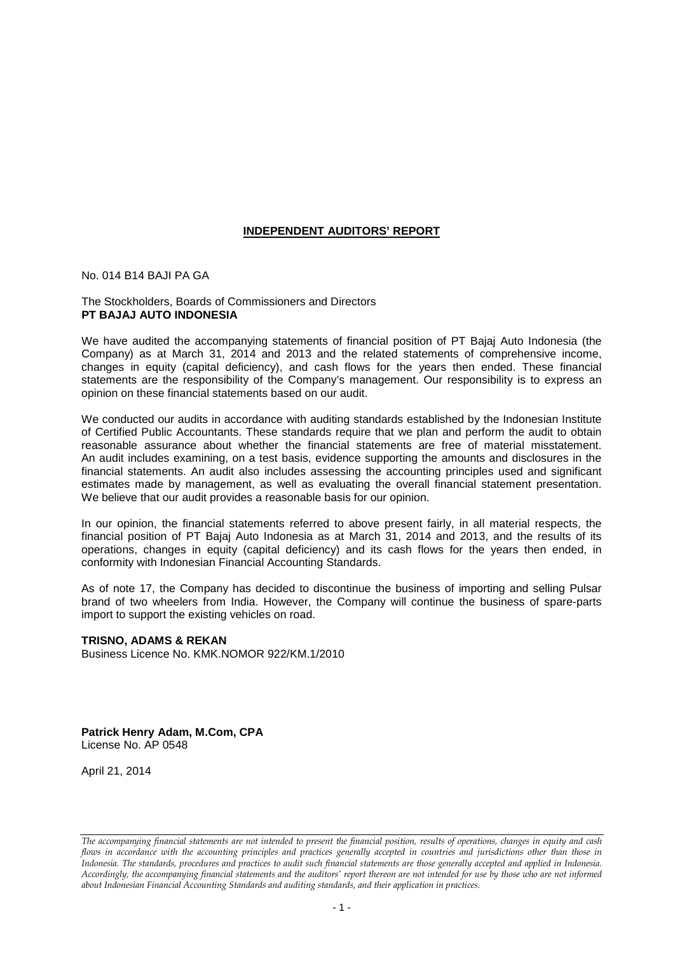## **INDEPENDENT AUDITORS' REPORT**

No. 014 B14 BAJI PA GA

## The Stockholders, Boards of Commissioners and Directors **PT BAJAJ AUTO INDONESIA**

We have audited the accompanying statements of financial position of PT Bajaj Auto Indonesia (the Company) as at March 31, 2014 and 2013 and the related statements of comprehensive income, changes in equity (capital deficiency), and cash flows for the years then ended. These financial statements are the responsibility of the Company's management. Our responsibility is to express an opinion on these financial statements based on our audit.

We conducted our audits in accordance with auditing standards established by the Indonesian Institute of Certified Public Accountants. These standards require that we plan and perform the audit to obtain reasonable assurance about whether the financial statements are free of material misstatement. An audit includes examining, on a test basis, evidence supporting the amounts and disclosures in the financial statements. An audit also includes assessing the accounting principles used and significant estimates made by management, as well as evaluating the overall financial statement presentation. We believe that our audit provides a reasonable basis for our opinion.

In our opinion, the financial statements referred to above present fairly, in all material respects, the financial position of PT Bajaj Auto Indonesia as at March 31, 2014 and 2013, and the results of its operations, changes in equity (capital deficiency) and its cash flows for the years then ended, in conformity with Indonesian Financial Accounting Standards.

As of note 17, the Company has decided to discontinue the business of importing and selling Pulsar brand of two wheelers from India. However, the Company will continue the business of spare-parts import to support the existing vehicles on road.

## **TRISNO, ADAMS & REKAN**

Business Licence No. KMK.NOMOR 922/KM.1/2010

**Patrick Henry Adam, M.Com, CPA** License No. AP 0548

April 21, 2014

*The accompanying financial statements are not intended to present the financial position, results of operations, changes in equity and cash flows in accordance with the accounting principles and practices generally accepted in countries and jurisdictions other than those in Indonesia. The standards, procedures and practices to audit such financial statements are those generally accepted and applied in Indonesia. Accordingly, the accompanying financial statements and the auditors' report thereon are not intended for use by those who are not informed about Indonesian Financial Accounting Standards and auditing standards, and their application in practices.*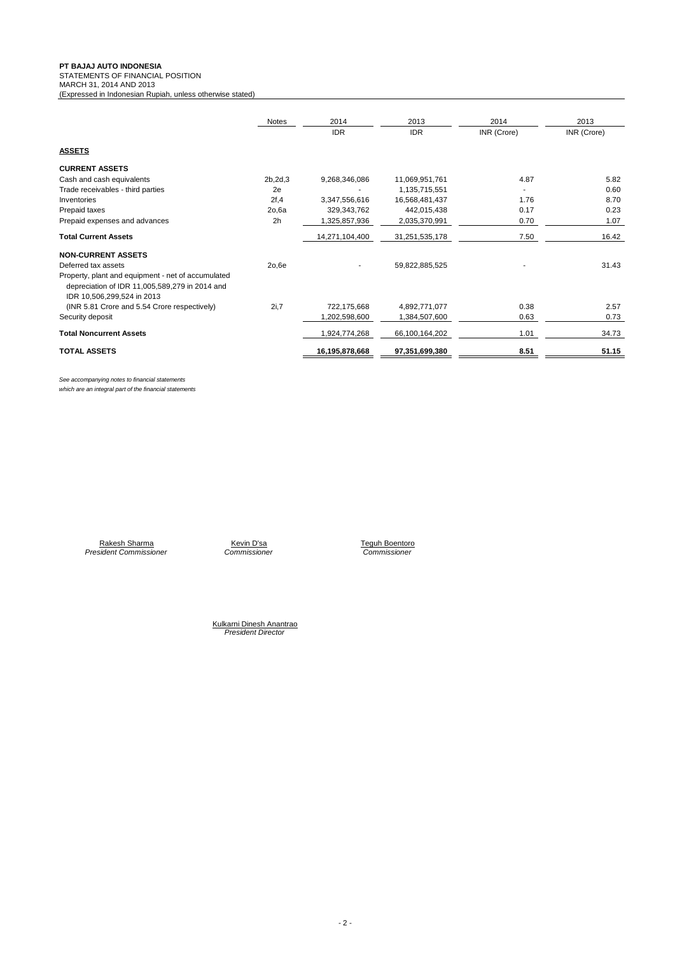**PT BAJAJ AUTO INDONESIA** STATEMENTS OF FINANCIAL POSITION

(Expressed in Indonesian Rupiah, unless otherwise stated)

MARCH 31, 2014 AND 2013

|                                                                                                                                    | <b>Notes</b>   | 2014           | 2013           | 2014        | 2013        |
|------------------------------------------------------------------------------------------------------------------------------------|----------------|----------------|----------------|-------------|-------------|
|                                                                                                                                    |                | <b>IDR</b>     | <b>IDR</b>     | INR (Crore) | INR (Crore) |
| <b>ASSETS</b>                                                                                                                      |                |                |                |             |             |
| <b>CURRENT ASSETS</b>                                                                                                              |                |                |                |             |             |
| Cash and cash equivalents                                                                                                          | 2b, 2d, 3      | 9,268,346,086  | 11,069,951,761 | 4.87        | 5.82        |
| Trade receivables - third parties                                                                                                  | 2e             |                | 1,135,715,551  |             | 0.60        |
| Inventories                                                                                                                        | 2f, 4          | 3,347,556,616  | 16,568,481,437 | 1.76        | 8.70        |
| Prepaid taxes                                                                                                                      | 2o,6a          | 329,343,762    | 442,015,438    | 0.17        | 0.23        |
| Prepaid expenses and advances                                                                                                      | 2 <sub>h</sub> | ,325,857,936   | 2,035,370,991  | 0.70        | 1.07        |
| <b>Total Current Assets</b>                                                                                                        |                | 14,271,104,400 | 31,251,535,178 | 7.50        | 16.42       |
| <b>NON-CURRENT ASSETS</b>                                                                                                          |                |                |                |             |             |
| Deferred tax assets                                                                                                                | 20,6e          |                | 59,822,885,525 |             | 31.43       |
| Property, plant and equipment - net of accumulated<br>depreciation of IDR 11,005,589,279 in 2014 and<br>IDR 10,506,299,524 in 2013 |                |                |                |             |             |
| (INR 5.81 Crore and 5.54 Crore respectively)                                                                                       | 2i,7           | 722,175,668    | 4,892,771,077  | 0.38        | 2.57        |
| Security deposit                                                                                                                   |                | 1,202,598,600  | 1,384,507,600  | 0.63        | 0.73        |
| <b>Total Noncurrent Assets</b>                                                                                                     |                | 1,924,774,268  | 66,100,164,202 | 1.01        | 34.73       |
| <b>TOTAL ASSETS</b>                                                                                                                |                | 16,195,878,668 | 97,351,699,380 | 8.51        | 51.15       |

*See accompanying notes to financial statements which are an integral part of the financial statements*

Rakesh Sharma Kevin D'sa Teguh Boentoro *President Commissioner Commissioner Commissioner*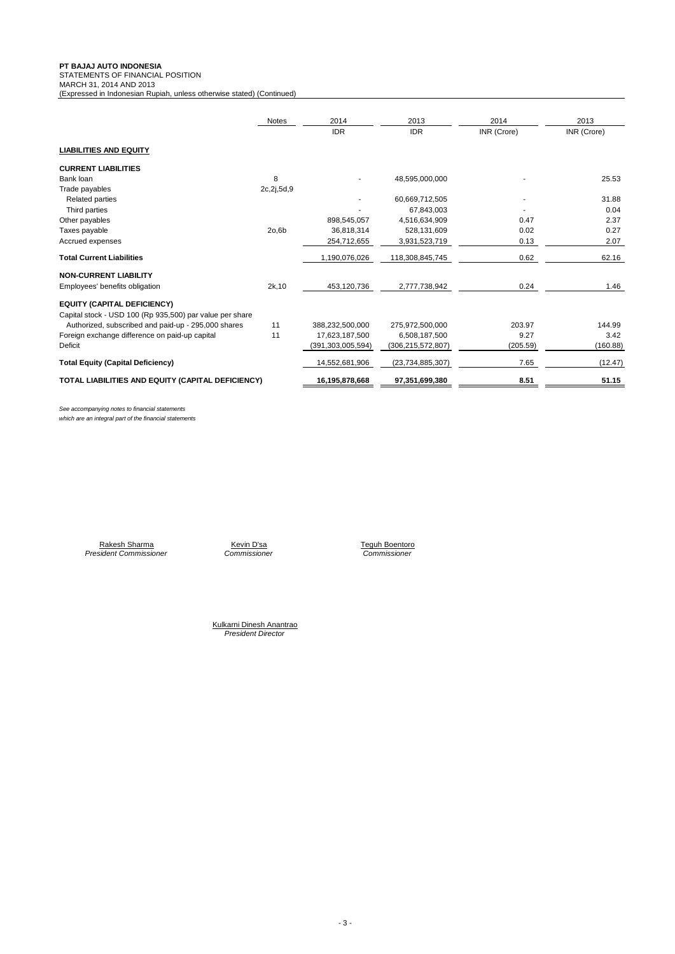**PT BAJAJ AUTO INDONESIA** STATEMENTS OF FINANCIAL POSITION

MARCH 31, 2014 AND 2013

(Expressed in Indonesian Rupiah, unless otherwise stated) (Continued)

|                                                          | <b>Notes</b> | 2014                 | 2013                 | 2014        | 2013        |
|----------------------------------------------------------|--------------|----------------------|----------------------|-------------|-------------|
|                                                          |              | <b>IDR</b>           | <b>IDR</b>           | INR (Crore) | INR (Crore) |
| <b>LIABILITIES AND EQUITY</b>                            |              |                      |                      |             |             |
| <b>CURRENT LIABILITIES</b>                               |              |                      |                      |             |             |
| Bank loan                                                | 8            |                      | 48,595,000,000       |             | 25.53       |
| Trade payables                                           | 2c,2j,5d,9   |                      |                      |             |             |
| <b>Related parties</b>                                   |              |                      | 60,669,712,505       |             | 31.88       |
| Third parties                                            |              |                      | 67,843,003           |             | 0.04        |
| Other payables                                           |              | 898,545,057          | 4,516,634,909        | 0.47        | 2.37        |
| Taxes payable                                            | 20,6b        | 36,818,314           | 528,131,609          | 0.02        | 0.27        |
| Accrued expenses                                         |              | 254,712,655          | 3,931,523,719        | 0.13        | 2.07        |
| <b>Total Current Liabilities</b>                         |              | 1,190,076,026        | 118,308,845,745      | 0.62        | 62.16       |
| <b>NON-CURRENT LIABILITY</b>                             |              |                      |                      |             |             |
| Employees' benefits obligation                           | 2k, 10       | 453,120,736          | 2,777,738,942        | 0.24        | 1.46        |
| <b>EQUITY (CAPITAL DEFICIENCY)</b>                       |              |                      |                      |             |             |
| Capital stock - USD 100 (Rp 935,500) par value per share |              |                      |                      |             |             |
| Authorized, subscribed and paid-up - 295,000 shares      | 11           | 388,232,500,000      | 275,972,500,000      | 203.97      | 144.99      |
| Foreign exchange difference on paid-up capital           | 11           | 17,623,187,500       | 6,508,187,500        | 9.27        | 3.42        |
| Deficit                                                  |              | (391, 303, 005, 594) | (306, 215, 572, 807) | (205.59)    | (160.88)    |
| <b>Total Equity (Capital Deficiency)</b>                 |              | 14,552,681,906       | (23,734,885,307)     | 7.65        | (12.47)     |
| TOTAL LIABILITIES AND EQUITY (CAPITAL DEFICIENCY)        |              | 16,195,878,668       | 97,351,699,380       | 8.51        | 51.15       |

*See accompanying notes to financial statements*

*which are an integral part of the financial statements*

*President Commissioner Commissioner Commissioner* Rakesh Sharma Kevin D'sa Teguh Boentoro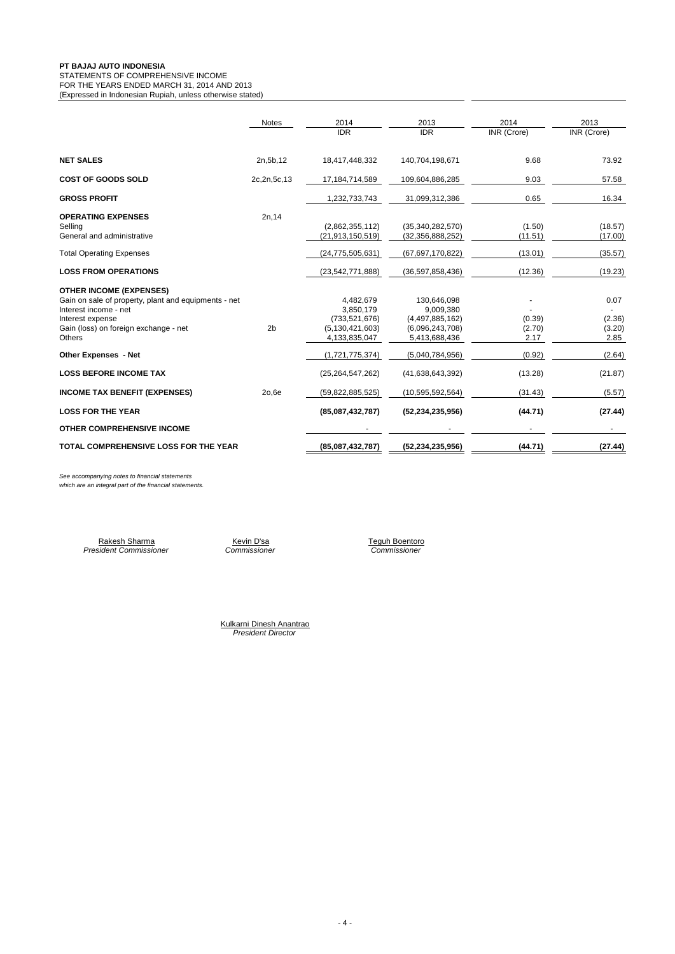## STATEMENTS OF COMPREHENSIVE INCOME

FOR THE YEARS ENDED MARCH 31, 2014 AND 2013 (Expressed in Indonesian Rupiah, unless otherwise stated)

|                                                                               | <b>Notes</b>   | 2014                                   | 2013                                 | 2014              | 2013               |
|-------------------------------------------------------------------------------|----------------|----------------------------------------|--------------------------------------|-------------------|--------------------|
|                                                                               |                | <b>IDR</b>                             | <b>IDR</b>                           | INR (Crore)       | <b>INR</b> (Crore) |
| <b>NET SALES</b>                                                              | 2n, 5b, 12     | 18,417,448,332                         | 140,704,198,671                      | 9.68              | 73.92              |
| <b>COST OF GOODS SOLD</b>                                                     | 2c, 2n, 5c, 13 | 17, 184, 714, 589                      | 109,604,886,285                      | 9.03              | 57.58              |
| <b>GROSS PROFIT</b>                                                           |                | 1,232,733,743                          | 31,099,312,386                       | 0.65              | 16.34              |
| <b>OPERATING EXPENSES</b>                                                     | 2n, 14         |                                        |                                      |                   |                    |
| Selling<br>General and administrative                                         |                | (2,862,355,112)<br>(21, 913, 150, 519) | (35,340,282,570)<br>(32,356,888,252) | (1.50)<br>(11.51) | (18.57)<br>(17.00) |
| <b>Total Operating Expenses</b>                                               |                | (24, 775, 505, 631)                    | (67,697,170,822)                     | (13.01)           | (35.57)            |
| <b>LOSS FROM OPERATIONS</b>                                                   |                | (23, 542, 771, 888)                    | (36,597,858,436)                     | (12.36)           | (19.23)            |
| <b>OTHER INCOME (EXPENSES)</b>                                                |                |                                        |                                      |                   |                    |
| Gain on sale of property, plant and equipments - net<br>Interest income - net |                | 4,482,679<br>3,850,179                 | 130,646,098<br>9,009,380             |                   | 0.07               |
| Interest expense                                                              |                | (733, 521, 676)                        | (4,497,885,162)                      | (0.39)            | (2.36)             |
| Gain (loss) on foreign exchange - net                                         | 2 <sub>b</sub> | (5, 130, 421, 603)                     | (6,096,243,708)                      | (2.70)            | (3.20)             |
| <b>Others</b>                                                                 |                | 4,133,835,047                          | 5,413,688,436                        | 2.17              | 2.85               |
| <b>Other Expenses - Net</b>                                                   |                | (1,721,775,374)                        | (5,040,784,956)                      | (0.92)            | (2.64)             |
| <b>LOSS BEFORE INCOME TAX</b>                                                 |                | (25, 264, 547, 262)                    | (41,638,643,392)                     | (13.28)           | (21.87)            |
| <b>INCOME TAX BENEFIT (EXPENSES)</b>                                          | 20,6e          | (59,822,885,525)                       | (10, 595, 592, 564)                  | (31.43)           | (5.57)             |
| <b>LOSS FOR THE YEAR</b>                                                      |                | (85,087,432,787)                       | (52, 234, 235, 956)                  | (44.71)           | (27.44)            |
| <b>OTHER COMPREHENSIVE INCOME</b>                                             |                |                                        |                                      |                   |                    |
| TOTAL COMPREHENSIVE LOSS FOR THE YEAR                                         |                | (85,087,432,787)                       | (52, 234, 235, 956)                  | (44.71)           | (27.44)            |

*See accompanying notes to financial statements*

*which are an integral part of the financial statements.*

Rakesh Sharma Kevin D'sa Teguh Boentoro *President Commissioner Commissioner Commissioner*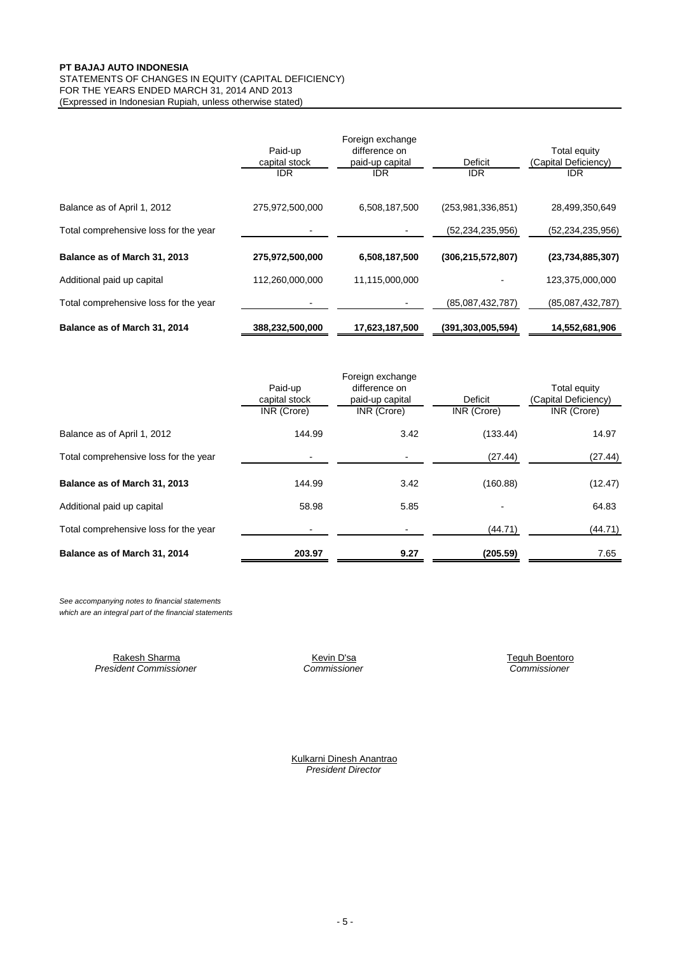## FOR THE YEARS ENDED MARCH 31, 2014 AND 2013 STATEMENTS OF CHANGES IN EQUITY (CAPITAL DEFICIENCY)

(Expressed in Indonesian Rupiah, unless otherwise stated)

|                                       | Paid-up<br>capital stock<br><b>IDR</b> | Foreign exchange<br>difference on<br>paid-up capital<br><b>IDR</b> | Deficit<br><b>IDR</b> | Total equity<br>(Capital Deficiency)<br><b>IDR</b> |
|---------------------------------------|----------------------------------------|--------------------------------------------------------------------|-----------------------|----------------------------------------------------|
| Balance as of April 1, 2012           | 275,972,500,000                        | 6,508,187,500                                                      | (253.981.336.851)     | 28,499,350,649                                     |
| Total comprehensive loss for the year |                                        |                                                                    | (52,234,235,956)      | (52, 234, 235, 956)                                |
| Balance as of March 31, 2013          | 275,972,500,000                        | 6,508,187,500                                                      | (306, 215, 572, 807)  | (23,734,885,307)                                   |
| Additional paid up capital            | 112,260,000,000                        | 11,115,000,000                                                     |                       | 123,375,000,000                                    |
| Total comprehensive loss for the year |                                        |                                                                    | (85,087,432,787)      | (85,087,432,787)                                   |
| Balance as of March 31, 2014          | 388,232,500,000                        | 17,623,187,500                                                     | (391, 303, 005, 594)  | 14,552,681,906                                     |

|                                       |               | Foreign exchange |             |                      |
|---------------------------------------|---------------|------------------|-------------|----------------------|
|                                       | Paid-up       | difference on    |             | Total equity         |
|                                       | capital stock | paid-up capital  | Deficit     | (Capital Deficiency) |
|                                       | INR (Crore)   | INR (Crore)      | INR (Crore) | INR (Crore)          |
| Balance as of April 1, 2012           | 144.99        | 3.42             | (133.44)    | 14.97                |
| Total comprehensive loss for the year |               |                  | (27.44)     | (27.44)              |
| Balance as of March 31, 2013          | 144.99        | 3.42             | (160.88)    | (12.47)              |
| Additional paid up capital            | 58.98         | 5.85             |             | 64.83                |
| Total comprehensive loss for the year |               |                  | (44.71)     | (44.71)              |
| Balance as of March 31, 2014          | 203.97        | 9.27             | (205.59)    | 7.65                 |

*See accompanying notes to financial statements which are an integral part of the financial statements*

> Rakesh Sharma Kevin D'sa Teguh Boentoro *President Commissioner Commissioner Commissioner*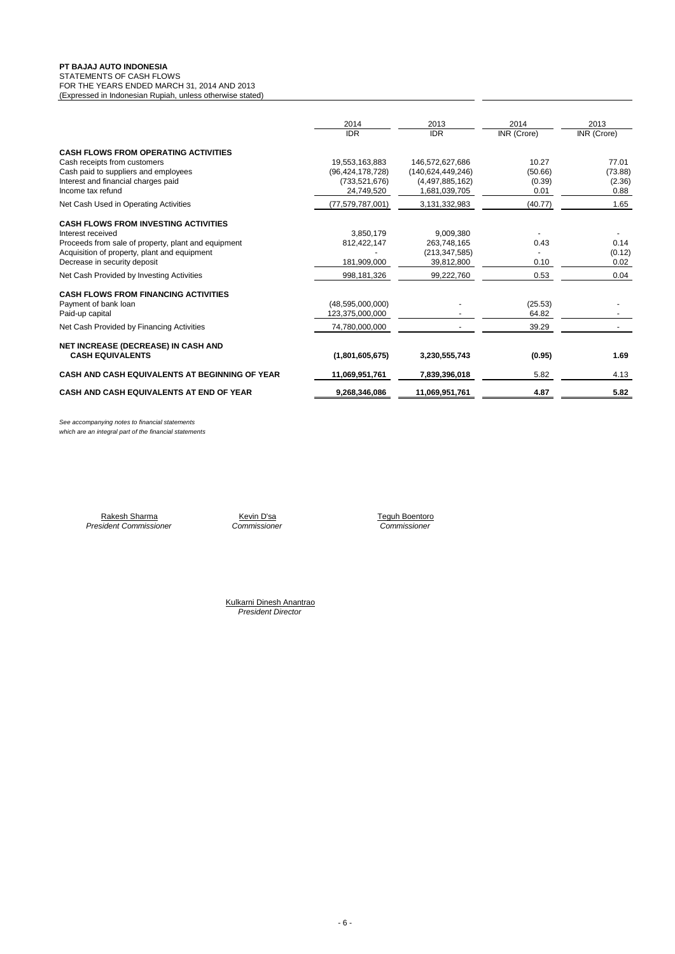#### STATEMENTS OF CASH FLOWS

FOR THE YEARS ENDED MARCH 31, 2014 AND 2013 (Expressed in Indonesian Rupiah, unless otherwise stated)

|                                                                                                                                                                                                                                                      | 2014<br><b>IDR</b>                                                     | 2013<br><b>IDR</b>                                                       | 2014<br>INR (Crore)                | 2013<br>INR (Crore)                |
|------------------------------------------------------------------------------------------------------------------------------------------------------------------------------------------------------------------------------------------------------|------------------------------------------------------------------------|--------------------------------------------------------------------------|------------------------------------|------------------------------------|
| <b>CASH FLOWS FROM OPERATING ACTIVITIES</b><br>Cash receipts from customers<br>Cash paid to suppliers and employees<br>Interest and financial charges paid<br>Income tax refund                                                                      | 19,553,163,883<br>(96, 424, 178, 728)<br>(733, 521, 676)<br>24,749,520 | 146,572,627,686<br>(140.624.449.246)<br>(4,497,885,162)<br>1,681,039,705 | 10.27<br>(50.66)<br>(0.39)<br>0.01 | 77.01<br>(73.88)<br>(2.36)<br>0.88 |
| Net Cash Used in Operating Activities                                                                                                                                                                                                                | (77,579,787,001)                                                       | 3,131,332,983                                                            | (40.77)                            | 1.65                               |
| <b>CASH FLOWS FROM INVESTING ACTIVITIES</b><br>Interest received<br>Proceeds from sale of property, plant and equipment<br>Acquisition of property, plant and equipment<br>Decrease in security deposit<br>Net Cash Provided by Investing Activities | 3.850.179<br>812,422,147<br>181,909,000<br>998,181,326                 | 9.009.380<br>263,748,165<br>(213, 347, 585)<br>39,812,800<br>99,222,760  | 0.43<br>0.10<br>0.53               | 0.14<br>(0.12)<br>0.02<br>0.04     |
|                                                                                                                                                                                                                                                      |                                                                        |                                                                          |                                    |                                    |
| <b>CASH FLOWS FROM FINANCING ACTIVITIES</b><br>Payment of bank loan<br>Paid-up capital                                                                                                                                                               | (48,595,000,000)<br>123,375,000,000                                    |                                                                          | (25.53)<br>64.82                   |                                    |
| Net Cash Provided by Financing Activities                                                                                                                                                                                                            | 74,780,000,000                                                         |                                                                          | 39.29                              |                                    |
| <b>NET INCREASE (DECREASE) IN CASH AND</b><br><b>CASH EQUIVALENTS</b>                                                                                                                                                                                | (1,801,605,675)                                                        | 3,230,555,743                                                            | (0.95)                             | 1.69                               |
| CASH AND CASH EQUIVALENTS AT BEGINNING OF YEAR                                                                                                                                                                                                       | 11,069,951,761                                                         | 7,839,396,018                                                            | 5.82                               | 4.13                               |
| <b>CASH AND CASH EQUIVALENTS AT END OF YEAR</b>                                                                                                                                                                                                      | 9,268,346,086                                                          | 11,069,951,761                                                           | 4.87                               | 5.82                               |

*See accompanying notes to financial statements which are an integral part of the financial statements*

> Rakesh Sharma Kevin D'sa Teguh Boentoro *President Commissioner Commissioner Commissioner*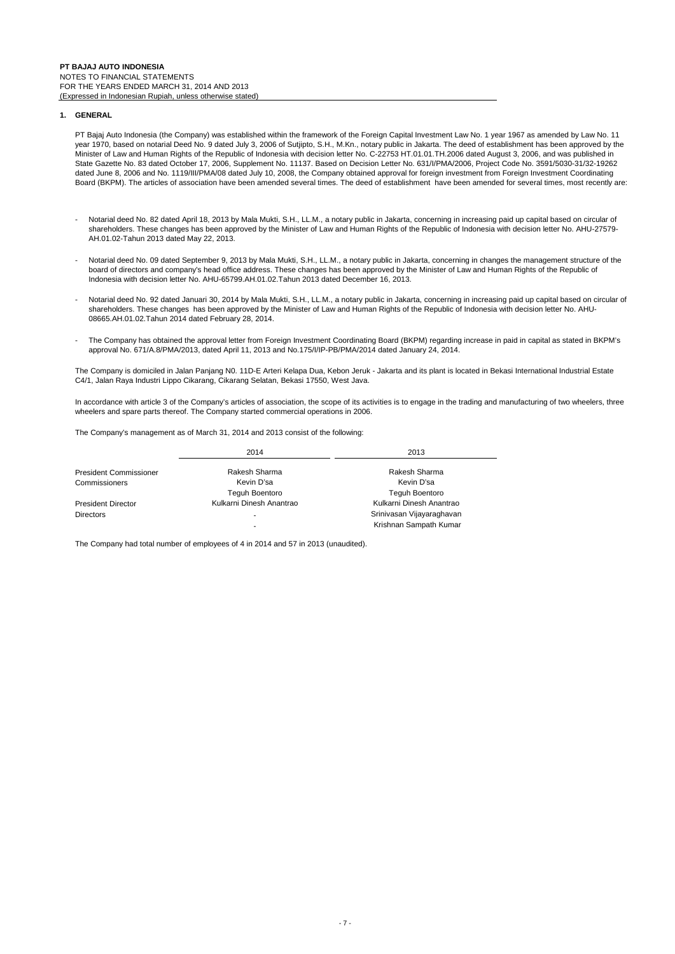## **1. GENERAL**

PT Bajaj Auto Indonesia (the Company) was established within the framework of the Foreign Capital Investment Law No. 1 year 1967 as amended by Law No. 11 year 1970, based on notarial Deed No. 9 dated July 3, 2006 of Sutjipto, S.H., M.Kn., notary public in Jakarta. The deed of establishment has been approved by the Minister of Law and Human Rights of the Republic of Indonesia with decision letter No. C-22753 HT.01.01.TH.2006 dated August 3, 2006, and was published in State Gazette No. 83 dated October 17, 2006, Supplement No. 11137. Based on Decision Letter No. 631/I/PMA/2006, Project Code No. 3591/5030-31/32-19262 dated June 8, 2006 and No. 1119/III/PMA/08 dated July 10, 2008, the Company obtained approval for foreign investment from Foreign Investment Coordinating Board (BKPM). The articles of association have been amended several times. The deed of establishment have been amended for several times, most recently are:

- Notarial deed No. 82 dated April 18, 2013 by Mala Mukti, S.H., LL.M., a notary public in Jakarta, concerning in increasing paid up capital based on circular of shareholders. These changes has been approved by the Minister of Law and Human Rights of the Republic of Indonesia with decision letter No. AHU-27579- AH.01.02-Tahun 2013 dated May 22, 2013.
- Notarial deed No. 09 dated September 9, 2013 by Mala Mukti, S.H., LL.M., a notary public in Jakarta, concerning in changes the management structure of the board of directors and company's head office address. These changes has been approved by the Minister of Law and Human Rights of the Republic of Indonesia with decision letter No. AHU-65799.AH.01.02.Tahun 2013 dated December 16, 2013.
- Notarial deed No. 92 dated Januari 30, 2014 by Mala Mukti, S.H., LL.M., a notary public in Jakarta, concerning in increasing paid up capital based on circular of shareholders. These changes has been approved by the Minister of Law and Human Rights of the Republic of Indonesia with decision letter No. AHU-08665.AH.01.02.Tahun 2014 dated February 28, 2014.
- The Company has obtained the approval letter from Foreign Investment Coordinating Board (BKPM) regarding increase in paid in capital as stated in BKPM's approval No. 671/A.8/PMA/2013, dated April 11, 2013 and No.175/I/IP-PB/PMA/2014 dated January 24, 2014.

The Company is domiciled in Jalan Panjang N0. 11D-E Arteri Kelapa Dua, Kebon Jeruk - Jakarta and its plant is located in Bekasi International Industrial Estate C4/1, Jalan Raya Industri Lippo Cikarang, Cikarang Selatan, Bekasi 17550, West Java.

In accordance with article 3 of the Company's articles of association, the scope of its activities is to engage in the trading and manufacturing of two wheelers, three wheelers and spare parts thereof. The Company started commercial operations in 2006.

The Company's management as of March 31, 2014 and 2013 consist of the following:

|                               | 2014                     | 2013                      |
|-------------------------------|--------------------------|---------------------------|
| <b>President Commissioner</b> | Rakesh Sharma            | Rakesh Sharma             |
| Commissioners                 | Kevin D'sa               | Kevin D'sa                |
|                               | <b>Teguh Boentoro</b>    | <b>Teguh Boentoro</b>     |
| <b>President Director</b>     | Kulkarni Dinesh Anantrao | Kulkarni Dinesh Anantrao  |
| <b>Directors</b>              |                          | Srinivasan Vijayaraghavan |
|                               | ۰                        | Krishnan Sampath Kumar    |

The Company had total number of employees of 4 in 2014 and 57 in 2013 (unaudited).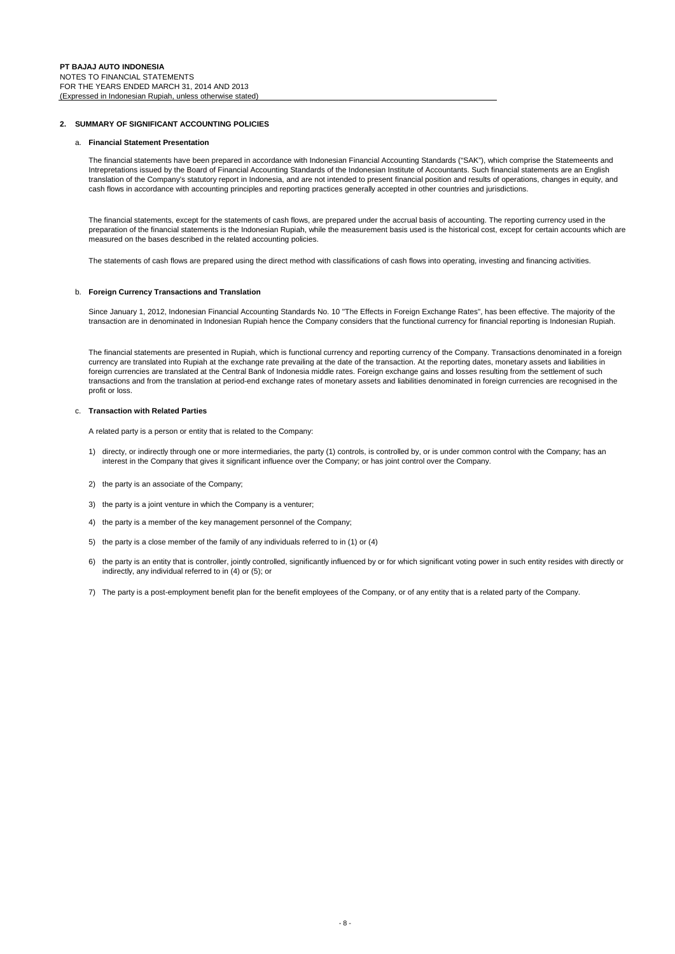## **2. SUMMARY OF SIGNIFICANT ACCOUNTING POLICIES**

## a. **Financial Statement Presentation**

The financial statements have been prepared in accordance with Indonesian Financial Accounting Standards ("SAK"), which comprise the Statemeents and Intrepretations issued by the Board of Financial Accounting Standards of the Indonesian Institute of Accountants. Such financial statements are an English translation of the Company's statutory report in Indonesia, and are not intended to present financial position and results of operations, changes in equity, and cash flows in accordance with accounting principles and reporting practices generally accepted in other countries and jurisdictions.

The financial statements, except for the statements of cash flows, are prepared under the accrual basis of accounting. The reporting currency used in the preparation of the financial statements is the Indonesian Rupiah, while the measurement basis used is the historical cost, except for certain accounts which are measured on the bases described in the related accounting policies.

The statements of cash flows are prepared using the direct method with classifications of cash flows into operating, investing and financing activities.

## b. **Foreign Currency Transactions and Translation**

Since January 1, 2012, Indonesian Financial Accounting Standards No. 10 "The Effects in Foreign Exchange Rates", has been effective. The majority of the transaction are in denominated in Indonesian Rupiah hence the Company considers that the functional currency for financial reporting is Indonesian Rupiah.

The financial statements are presented in Rupiah, which is functional currency and reporting currency of the Company. Transactions denominated in a foreign currency are translated into Rupiah at the exchange rate prevailing at the date of the transaction. At the reporting dates, monetary assets and liabilities in foreign currencies are translated at the Central Bank of Indonesia middle rates. Foreign exchange gains and losses resulting from the settlement of such transactions and from the translation at period-end exchange rates of monetary assets and liabilities denominated in foreign currencies are recognised in the profit or loss.

## c. **Transaction with Related Parties**

A related party is a person or entity that is related to the Company:

- 1) directy, or indirectly through one or more intermediaries, the party (1) controls, is controlled by, or is under common control with the Company; has an interest in the Company that gives it significant influence over the Company; or has joint control over the Company.
- 2) the party is an associate of the Company;
- 3) the party is a joint venture in which the Company is a venturer;
- 4) the party is a member of the key management personnel of the Company;
- 5) the party is a close member of the family of any individuals referred to in (1) or (4)
- 6) the party is an entity that is controller, jointly controlled, significantly influenced by or for which significant voting power in such entity resides with directly or indirectly, any individual referred to in (4) or (5); or
- 7) The party is a post-employment benefit plan for the benefit employees of the Company, or of any entity that is a related party of the Company.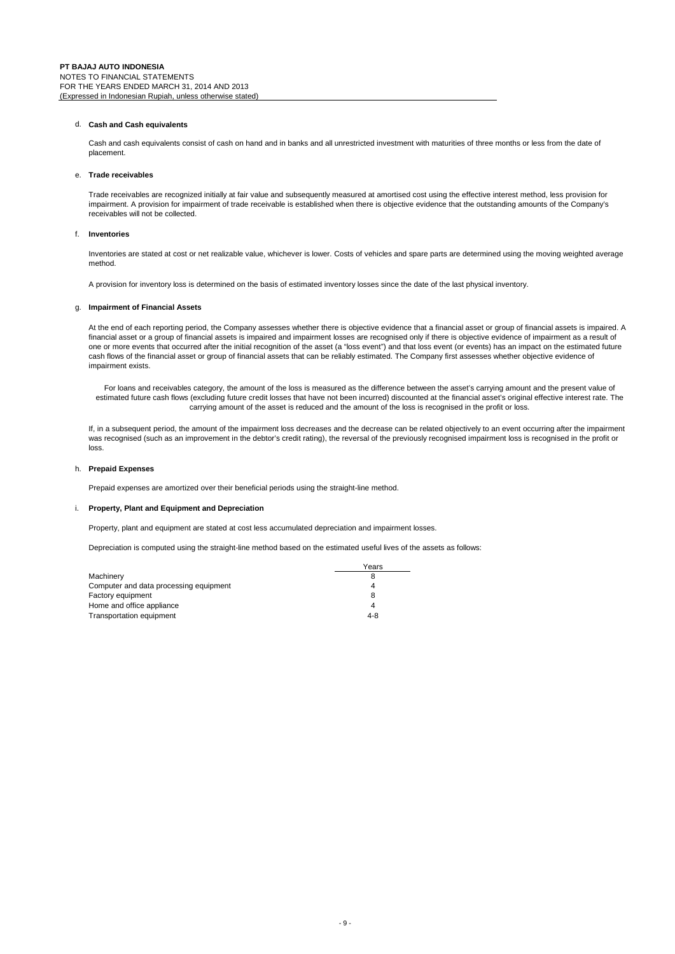## d. **Cash and Cash equivalents**

Cash and cash equivalents consist of cash on hand and in banks and all unrestricted investment with maturities of three months or less from the date of placement.

#### e. **Trade receivables**

Trade receivables are recognized initially at fair value and subsequently measured at amortised cost using the effective interest method, less provision for impairment. A provision for impairment of trade receivable is established when there is objective evidence that the outstanding amounts of the Company's receivables will not be collected.

#### f. **Inventories**

Inventories are stated at cost or net realizable value, whichever is lower. Costs of vehicles and spare parts are determined using the moving weighted average method.

A provision for inventory loss is determined on the basis of estimated inventory losses since the date of the last physical inventory.

#### g. **Impairment of Financial Assets**

At the end of each reporting period, the Company assesses whether there is objective evidence that a financial asset or group of financial assets is impaired. A financial asset or a group of financial assets is impaired and impairment losses are recognised only if there is objective evidence of impairment as a result of one or more events that occurred after the initial recognition of the asset (a "loss event") and that loss event (or events) has an impact on the estimated future cash flows of the financial asset or group of financial assets that can be reliably estimated. The Company first assesses whether objective evidence of impairment exists.

For loans and receivables category, the amount of the loss is measured as the difference between the asset's carrying amount and the present value of estimated future cash flows (excluding future credit losses that have not been incurred) discounted at the financial asset's original effective interest rate. The carrying amount of the asset is reduced and the amount of the loss is recognised in the profit or loss.

If, in a subsequent period, the amount of the impairment loss decreases and the decrease can be related objectively to an event occurring after the impairment was recognised (such as an improvement in the debtor's credit rating), the reversal of the previously recognised impairment loss is recognised in the profit or loss.

## h. **Prepaid Expenses**

Prepaid expenses are amortized over their beneficial periods using the straight-line method.

## i. **Property, Plant and Equipment and Depreciation**

Property, plant and equipment are stated at cost less accumulated depreciation and impairment losses.

Depreciation is computed using the straight-line method based on the estimated useful lives of the assets as follows:

|                                        | Years   |
|----------------------------------------|---------|
| Machinery                              |         |
| Computer and data processing equipment | 4       |
| Factory equipment                      |         |
| Home and office appliance              | Δ       |
| <b>Transportation equipment</b>        | $4 - 8$ |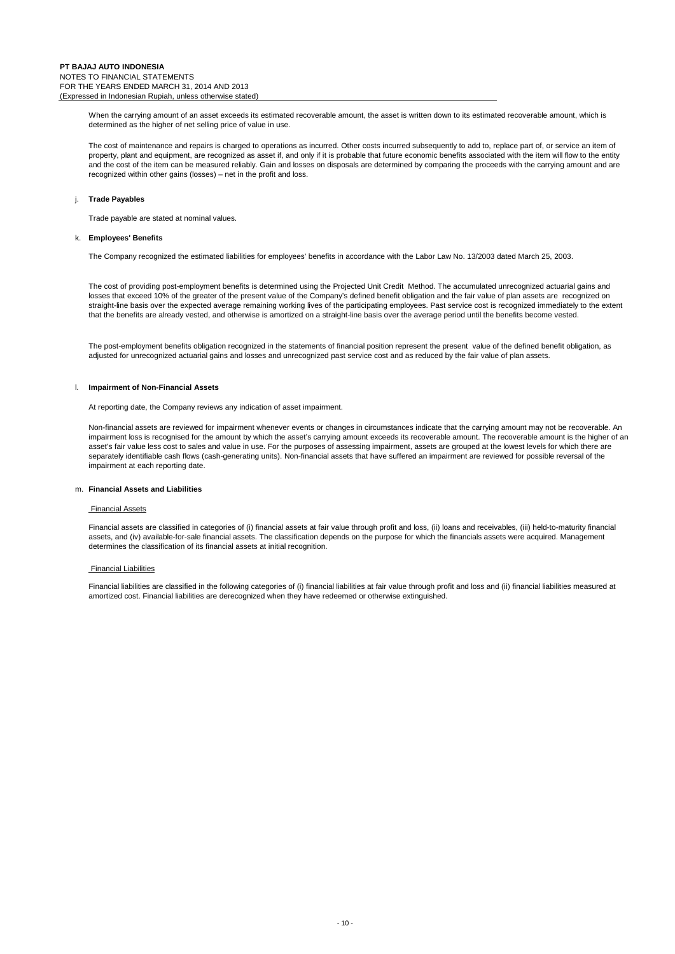When the carrying amount of an asset exceeds its estimated recoverable amount, the asset is written down to its estimated recoverable amount, which is determined as the higher of net selling price of value in use.

The cost of maintenance and repairs is charged to operations as incurred. Other costs incurred subsequently to add to, replace part of, or service an item of property, plant and equipment, are recognized as asset if, and only if it is probable that future economic benefits associated with the item will flow to the entity and the cost of the item can be measured reliably. Gain and losses on disposals are determined by comparing the proceeds with the carrying amount and are recognized within other gains (losses) – net in the profit and loss.

## j. **Trade Payables**

Trade payable are stated at nominal values.

#### k. **Employees' Benefits**

The Company recognized the estimated liabilities for employees' benefits in accordance with the Labor Law No. 13/2003 dated March 25, 2003.

The cost of providing post-employment benefits is determined using the Projected Unit Credit Method. The accumulated unrecognized actuarial gains and losses that exceed 10% of the greater of the present value of the Company's defined benefit obligation and the fair value of plan assets are recognized on straight-line basis over the expected average remaining working lives of the participating employees. Past service cost is recognized immediately to the extent that the benefits are already vested, and otherwise is amortized on a straight-line basis over the average period until the benefits become vested.

The post-employment benefits obligation recognized in the statements of financial position represent the present value of the defined benefit obligation, as adjusted for unrecognized actuarial gains and losses and unrecognized past service cost and as reduced by the fair value of plan assets.

#### l. **Impairment of Non-Financial Assets**

At reporting date, the Company reviews any indication of asset impairment.

Non-financial assets are reviewed for impairment whenever events or changes in circumstances indicate that the carrying amount may not be recoverable. An impairment loss is recognised for the amount by which the asset's carrying amount exceeds its recoverable amount. The recoverable amount is the higher of an asset's fair value less cost to sales and value in use. For the purposes of assessing impairment, assets are grouped at the lowest levels for which there are separately identifiable cash flows (cash-generating units). Non-financial assets that have suffered an impairment are reviewed for possible reversal of the impairment at each reporting date.

## m. **Financial Assets and Liabilities**

#### Financial Assets

Financial assets are classified in categories of (i) financial assets at fair value through profit and loss, (ii) loans and receivables, (iii) held-to-maturity financial assets, and (iv) available-for-sale financial assets. The classification depends on the purpose for which the financials assets were acquired. Management determines the classification of its financial assets at initial recognition.

#### Financial Liabilities

Financial liabilities are classified in the following categories of (i) financial liabilities at fair value through profit and loss and (ii) financial liabilities measured at amortized cost. Financial liabilities are derecognized when they have redeemed or otherwise extinguished.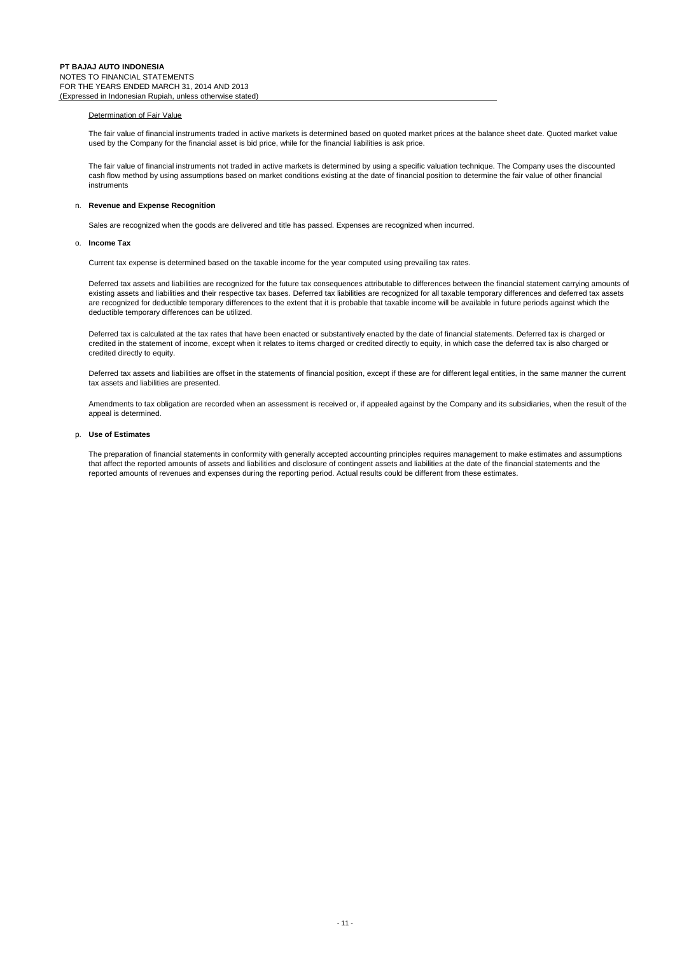#### Determination of Fair Value

The fair value of financial instruments traded in active markets is determined based on quoted market prices at the balance sheet date. Quoted market value used by the Company for the financial asset is bid price, while for the financial liabilities is ask price.

The fair value of financial instruments not traded in active markets is determined by using a specific valuation technique. The Company uses the discounted cash flow method by using assumptions based on market conditions existing at the date of financial position to determine the fair value of other financial instruments

## n. **Revenue and Expense Recognition**

Sales are recognized when the goods are delivered and title has passed. Expenses are recognized when incurred.

#### o. **Income Tax**

Current tax expense is determined based on the taxable income for the year computed using prevailing tax rates.

Deferred tax assets and liabilities are recognized for the future tax consequences attributable to differences between the financial statement carrying amounts of existing assets and liabilities and their respective tax bases. Deferred tax liabilities are recognized for all taxable temporary differences and deferred tax assets are recognized for deductible temporary differences to the extent that it is probable that taxable income will be available in future periods against which the deductible temporary differences can be utilized.

Deferred tax is calculated at the tax rates that have been enacted or substantively enacted by the date of financial statements. Deferred tax is charged or credited in the statement of income, except when it relates to items charged or credited directly to equity, in which case the deferred tax is also charged or credited directly to equity.

Deferred tax assets and liabilities are offset in the statements of financial position, except if these are for different legal entities, in the same manner the current tax assets and liabilities are presented.

Amendments to tax obligation are recorded when an assessment is received or, if appealed against by the Company and its subsidiaries, when the result of the appeal is determined.

#### p. **Use of Estimates**

The preparation of financial statements in conformity with generally accepted accounting principles requires management to make estimates and assumptions that affect the reported amounts of assets and liabilities and disclosure of contingent assets and liabilities at the date of the financial statements and the reported amounts of revenues and expenses during the reporting period. Actual results could be different from these estimates.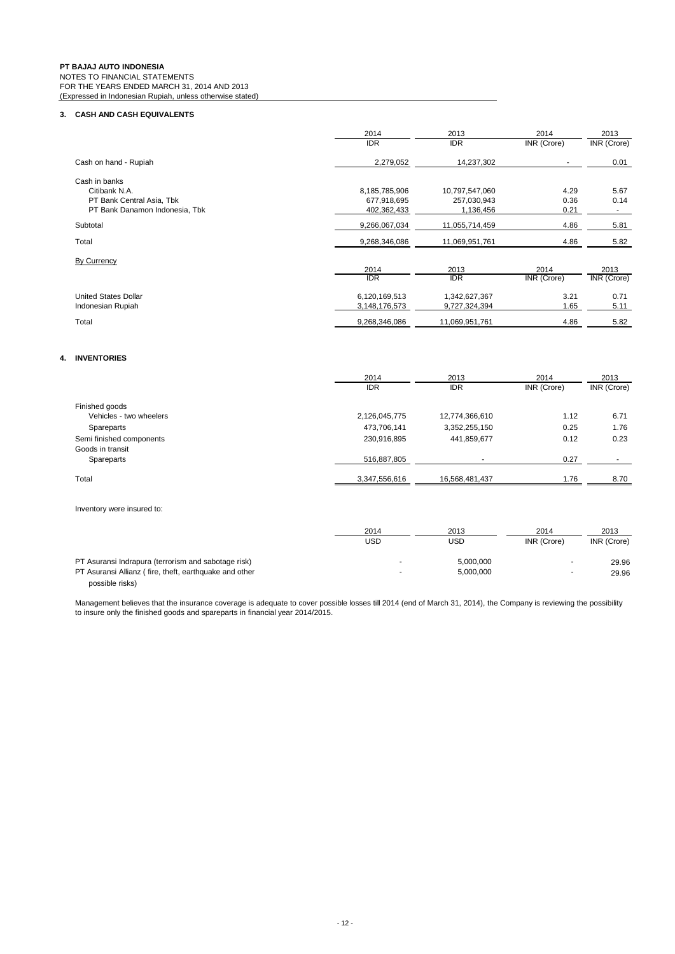## **3. CASH AND CASH EQUIVALENTS**

|                                | 2014          | 2013           | 2014        | 2013               |
|--------------------------------|---------------|----------------|-------------|--------------------|
|                                | <b>IDR</b>    | <b>IDR</b>     | INR (Crore) | INR (Crore)        |
| Cash on hand - Rupiah          | 2,279,052     | 14,237,302     |             | 0.01               |
| Cash in banks                  |               |                |             |                    |
| Citibank N.A.                  | 8,185,785,906 | 10,797,547,060 | 4.29        | 5.67               |
| PT Bank Central Asia, Tbk      | 677,918,695   | 257,030,943    | 0.36        | 0.14               |
| PT Bank Danamon Indonesia, Tbk | 402,362,433   | 1,136,456      | 0.21        |                    |
| Subtotal                       | 9,266,067,034 | 11,055,714,459 | 4.86        | 5.81               |
| Total                          | 9,268,346,086 | 11,069,951,761 | 4.86        | 5.82               |
| By Currency                    |               |                |             |                    |
|                                | 2014          | 2013           | 2014        | 2013               |
|                                | <b>IDR</b>    | <b>IDR</b>     | INR (Crore) | <b>INR</b> (Crore) |
| <b>United States Dollar</b>    | 6,120,169,513 | 1,342,627,367  | 3.21        | 0.71               |
| Indonesian Rupiah              | 3,148,176,573 | 9,727,324,394  | 1.65        | 5.11               |
| Total                          | 9,268,346,086 | 11,069,951,761 | 4.86        | 5.82               |

## **4. INVENTORIES**

|                          | 2014          | 2013           | 2014        | 2013        |
|--------------------------|---------------|----------------|-------------|-------------|
|                          | <b>IDR</b>    | <b>IDR</b>     | INR (Crore) | INR (Crore) |
| Finished goods           |               |                |             |             |
| Vehicles - two wheelers  | 2,126,045,775 | 12,774,366,610 | 1.12        | 6.71        |
| Spareparts               | 473,706,141   | 3,352,255,150  | 0.25        | 1.76        |
| Semi finished components | 230,916,895   | 441,859,677    | 0.12        | 0.23        |
| Goods in transit         |               |                |             |             |
| Spareparts               | 516,887,805   |                | 0.27        |             |
| Total                    | 3,347,556,616 | 16,568,481,437 | 1.76        | 8.70        |
|                          |               |                |             |             |
|                          |               |                |             |             |

Inventory were insured to:

|                                                        | 2014 | 2013      | 2014        | 2013        |
|--------------------------------------------------------|------|-----------|-------------|-------------|
|                                                        | USD  | USD       | INR (Crore) | INR (Crore) |
| PT Asuransi Indrapura (terrorism and sabotage risk)    |      | 5,000,000 | . .         | 29.96       |
| PT Asuransi Allianz (fire, theft, earthquake and other |      | 5,000,000 | . .         | 29.96       |
| possible risks)                                        |      |           |             |             |

Management believes that the insurance coverage is adequate to cover possible losses till 2014 (end of March 31, 2014), the Company is reviewing the possibility to insure only the finished goods and spareparts in financial year 2014/2015.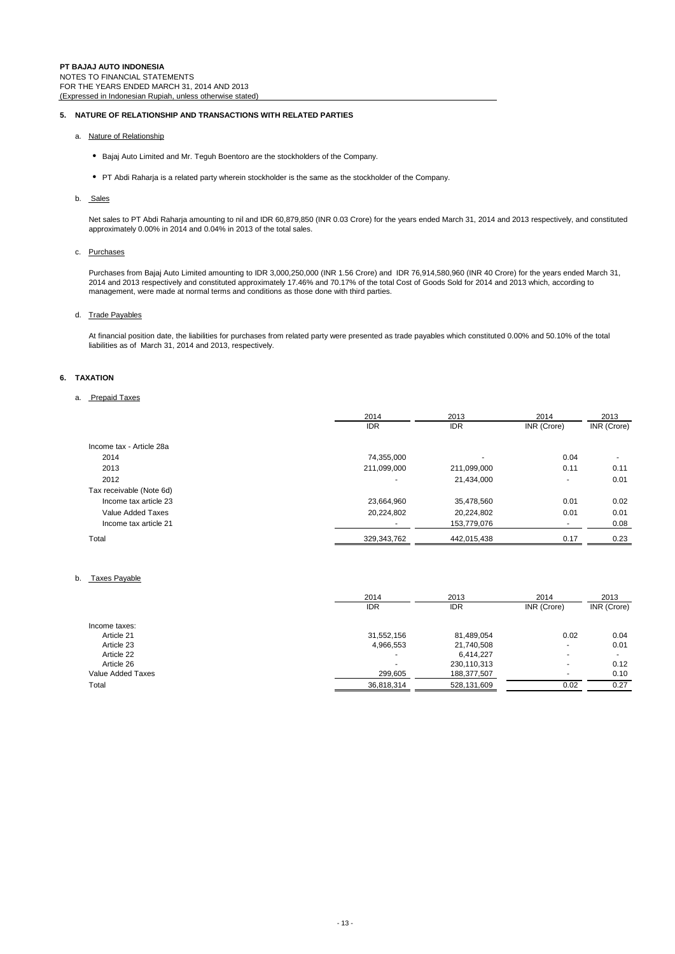## **5. NATURE OF RELATIONSHIP AND TRANSACTIONS WITH RELATED PARTIES**

- a. Nature of Relationship
	- Bajaj Auto Limited and Mr. Teguh Boentoro are the stockholders of the Company.
	- PT Abdi Raharja is a related party wherein stockholder is the same as the stockholder of the Company.
- b. Sales

Net sales to PT Abdi Raharja amounting to nil and IDR 60,879,850 (INR 0.03 Crore) for the years ended March 31, 2014 and 2013 respectively, and constituted approximately 0.00% in 2014 and 0.04% in 2013 of the total sales.

## c. Purchases

Purchases from Bajaj Auto Limited amounting to IDR 3,000,250,000 (INR 1.56 Crore) and IDR 76,914,580,960 (INR 40 Crore) for the years ended March 31, 2014 and 2013 respectively and constituted approximately 17.46% and 70.17% of the total Cost of Goods Sold for 2014 and 2013 which, according to management, were made at normal terms and conditions as those done with third parties.

## d. Trade Payables

At financial position date, the liabilities for purchases from related party were presented as trade payables which constituted 0.00% and 50.10% of the total liabilities as of March 31, 2014 and 2013, respectively.

## **6. TAXATION**

## a. Prepaid Taxes

|                          | 2014        | 2013        | 2014        | 2013        |
|--------------------------|-------------|-------------|-------------|-------------|
|                          | <b>IDR</b>  | <b>IDR</b>  | INR (Crore) | INR (Crore) |
| Income tax - Article 28a |             |             |             |             |
| 2014                     | 74,355,000  |             | 0.04        |             |
| 2013                     | 211,099,000 | 211,099,000 | 0.11        | 0.11        |
| 2012                     | ۰           | 21,434,000  | ۰           | 0.01        |
| Tax receivable (Note 6d) |             |             |             |             |
| Income tax article 23    | 23,664,960  | 35,478,560  | 0.01        | 0.02        |
| Value Added Taxes        | 20,224,802  | 20,224,802  | 0.01        | 0.01        |
| Income tax article 21    |             | 153,779,076 | ۰           | 0.08        |
| Total                    | 329,343,762 | 442,015,438 | 0.17        | 0.23        |

## b. Taxes Payable

|                   | 2014       | 2013        | 2014        | 2013        |  |
|-------------------|------------|-------------|-------------|-------------|--|
|                   | <b>IDR</b> | <b>IDR</b>  | INR (Crore) | INR (Crore) |  |
| Income taxes:     |            |             |             |             |  |
| Article 21        | 31,552,156 | 81,489,054  | 0.02        | 0.04        |  |
| Article 23        | 4,966,553  | 21,740,508  | ٠           | 0.01        |  |
| Article 22        | $\sim$     | 6.414.227   |             |             |  |
| Article 26        |            | 230,110,313 | $\sim$      | 0.12        |  |
| Value Added Taxes | 299,605    | 188,377,507 |             | 0.10        |  |
| Total             | 36,818,314 | 528.131.609 | 0.02        | 0.27        |  |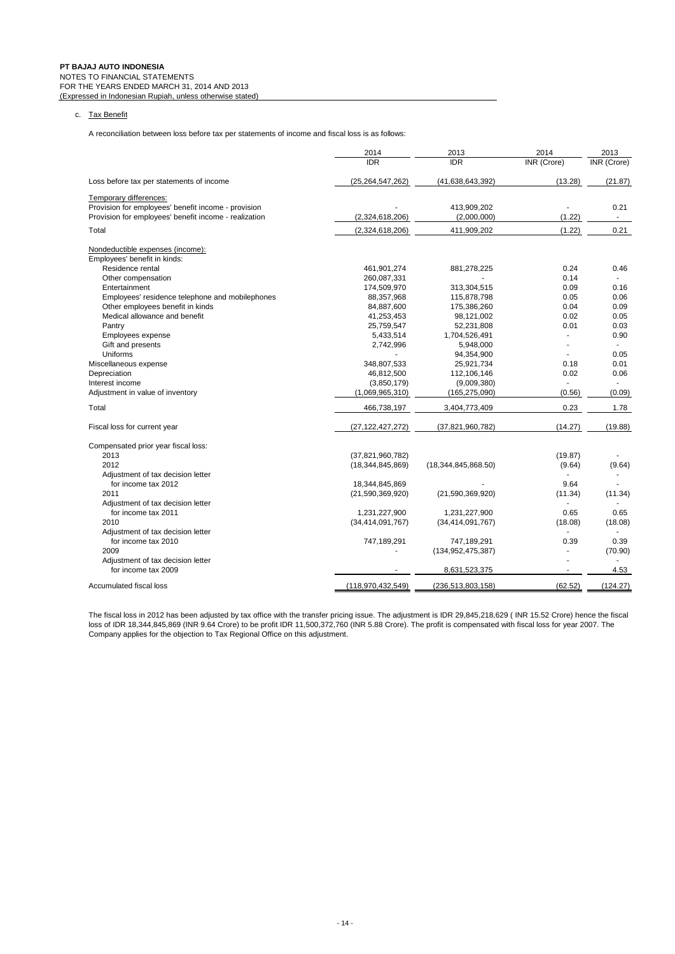## c. Tax Benefit

A reconciliation between loss before tax per statements of income and fiscal loss is as follows:

|                                                       | 2014                | 2013                 | 2014               | 2013               |
|-------------------------------------------------------|---------------------|----------------------|--------------------|--------------------|
|                                                       | <b>IDR</b>          | <b>IDR</b>           | <b>INR</b> (Crore) | <b>INR</b> (Crore) |
| Loss before tax per statements of income              | (25,264,547,262)    | (41,638,643,392)     | (13.28)            | (21.87)            |
| Temporary differences:                                |                     |                      |                    |                    |
| Provision for employees' benefit income - provision   |                     | 413,909,202          |                    | 0.21               |
| Provision for employees' benefit income - realization | (2,324,618,206)     | (2,000,000)          | (1.22)             |                    |
| Total                                                 | (2,324,618,206)     | 411,909,202          | (1.22)             | 0.21               |
| Nondeductible expenses (income):                      |                     |                      |                    |                    |
| Employees' benefit in kinds:                          |                     |                      |                    |                    |
| Residence rental                                      | 461,901,274         | 881,278,225          | 0.24               | 0.46               |
| Other compensation                                    | 260,087,331         |                      | 0.14               |                    |
| Entertainment                                         | 174,509,970         | 313,304,515          | 0.09               | 0.16               |
| Employees' residence telephone and mobilephones       | 88,357,968          | 115,878,798          | 0.05               | 0.06               |
| Other employees benefit in kinds                      | 84,887,600          | 175,386,260          | 0.04               | 0.09               |
| Medical allowance and benefit                         | 41,253,453          | 98,121,002           | 0.02               | 0.05               |
| Pantry                                                | 25,759,547          | 52,231,808           | 0.01               | 0.03               |
| Employees expense                                     | 5,433,514           | 1,704,526,491        |                    | 0.90               |
| Gift and presents                                     | 2,742,996           | 5,948,000            |                    |                    |
| Uniforms                                              |                     | 94,354,900           |                    | 0.05               |
| Miscellaneous expense                                 | 348,807,533         | 25,921,734           | 0.18               | 0.01               |
| Depreciation                                          | 46,812,500          | 112,106,146          | 0.02               | 0.06               |
| Interest income                                       | (3,850,179)         | (9,009,380)          |                    |                    |
| Adjustment in value of inventory                      | (1,069,965,310)     | (165, 275, 090)      | (0.56)             | (0.09)             |
| Total                                                 | 466,738,197         | 3,404,773,409        | 0.23               | 1.78               |
|                                                       |                     |                      |                    |                    |
| Fiscal loss for current year                          | (27,122,427,272)    | (37, 821, 960, 782)  | (14.27)            | (19.88)            |
| Compensated prior year fiscal loss:                   |                     |                      |                    |                    |
| 2013                                                  | (37, 821, 960, 782) |                      | (19.87)            |                    |
| 2012                                                  | (18, 344, 845, 869) | (18,344,845,868.50)  | (9.64)             | (9.64)             |
| Adjustment of tax decision letter                     |                     |                      |                    |                    |
| for income tax 2012                                   | 18,344,845,869      |                      | 9.64               |                    |
| 2011                                                  | (21, 590, 369, 920) | (21, 590, 369, 920)  | (11.34)            | (11.34)            |
| Adjustment of tax decision letter                     |                     |                      |                    |                    |
| for income tax 2011                                   | 1,231,227,900       | 1,231,227,900        | 0.65               | 0.65               |
| 2010                                                  | (34, 414, 091, 767) | (34, 414, 091, 767)  | (18.08)            | (18.08)            |
| Adjustment of tax decision letter                     |                     |                      |                    |                    |
| for income tax 2010                                   | 747,189,291         | 747,189,291          | 0.39               | 0.39               |
| 2009                                                  |                     | (134, 952, 475, 387) |                    | (70.90)            |
| Adjustment of tax decision letter                     |                     |                      |                    |                    |
| for income tax 2009                                   |                     | 8,631,523,375        |                    | 4.53               |
| Accumulated fiscal loss                               | (118,970,432,549)   | (236, 513, 803, 158) | (62.52)            | (124.27)           |
|                                                       |                     |                      |                    |                    |

The fiscal loss in 2012 has been adjusted by tax office with the transfer pricing issue. The adjustment is IDR 29,845,218,629 ( INR 15.52 Crore) hence the fiscal loss of IDR 18,344,845,869 (INR 9.64 Crore) to be profit IDR 11,500,372,760 (INR 5.88 Crore). The profit is compensated with fiscal loss for year 2007. The Company applies for the objection to Tax Regional Office on this adjustment.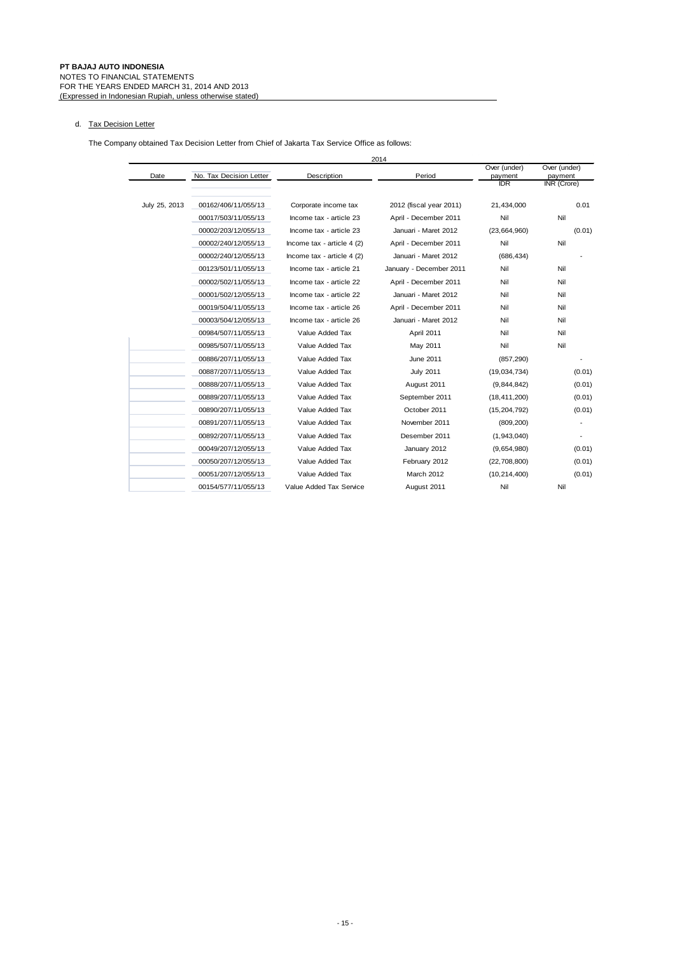## d. Tax Decision Letter

The Company obtained Tax Decision Letter from Chief of Jakarta Tax Service Office as follows:

|               |                         |                            | 2014                    |                         |                         |
|---------------|-------------------------|----------------------------|-------------------------|-------------------------|-------------------------|
| Date          | No. Tax Decision Letter | Description                | Period                  | Over (under)<br>payment | Over (under)<br>payment |
|               |                         |                            |                         | <b>IDR</b>              | INR (Crore)             |
| July 25, 2013 | 00162/406/11/055/13     | Corporate income tax       | 2012 (fiscal year 2011) | 21,434,000              | 0.01                    |
|               | 00017/503/11/055/13     | Income tax - article 23    | April - December 2011   | Nil                     | Nil                     |
|               | 00002/203/12/055/13     | Income tax - article 23    | Januari - Maret 2012    | (23, 664, 960)          | (0.01)                  |
|               | 00002/240/12/055/13     | Income tax - article 4 (2) | April - December 2011   | Nil                     | Nil                     |
|               | 00002/240/12/055/13     | Income tax - article 4 (2) | Januari - Maret 2012    | (686, 434)              |                         |
|               | 00123/501/11/055/13     | Income tax - article 21    | January - December 2011 | Nil                     | Nil                     |
|               | 00002/502/11/055/13     | Income tax - article 22    | April - December 2011   | Nil                     | Nil                     |
|               | 00001/502/12/055/13     | Income tax - article 22    | Januari - Maret 2012    | Nil                     | Nil                     |
|               | 00019/504/11/055/13     | Income tax - article 26    | April - December 2011   | Nil                     | Nil                     |
|               | 00003/504/12/055/13     | Income tax - article 26    | Januari - Maret 2012    | Nil                     | Nil                     |
|               | 00984/507/11/055/13     | Value Added Tax            | April 2011              | Nil                     | Nil                     |
|               | 00985/507/11/055/13     | Value Added Tax            | May 2011                | Nil                     | Nil                     |
|               | 00886/207/11/055/13     | Value Added Tax            | June 2011               | (857, 290)              |                         |
|               | 00887/207/11/055/13     | Value Added Tax            | <b>July 2011</b>        | (19,034,734)            | (0.01)                  |
|               | 00888/207/11/055/13     | Value Added Tax            | August 2011             | (9,844,842)             | (0.01)                  |
|               | 00889/207/11/055/13     | Value Added Tax            | September 2011          | (18, 411, 200)          | (0.01)                  |
|               | 00890/207/11/055/13     | Value Added Tax            | October 2011            | (15, 204, 792)          | (0.01)                  |
|               | 00891/207/11/055/13     | Value Added Tax            | November 2011           | (809, 200)              |                         |
|               | 00892/207/11/055/13     | Value Added Tax            | Desember 2011           | (1,943,040)             |                         |
|               | 00049/207/12/055/13     | Value Added Tax            | January 2012            | (9,654,980)             | (0.01)                  |
|               | 00050/207/12/055/13     | Value Added Tax            | February 2012           | (22, 708, 800)          | (0.01)                  |
|               | 00051/207/12/055/13     | Value Added Tax            | March 2012              | (10, 214, 400)          | (0.01)                  |
|               | 00154/577/11/055/13     | Value Added Tax Service    | August 2011             | Nil                     | Nil                     |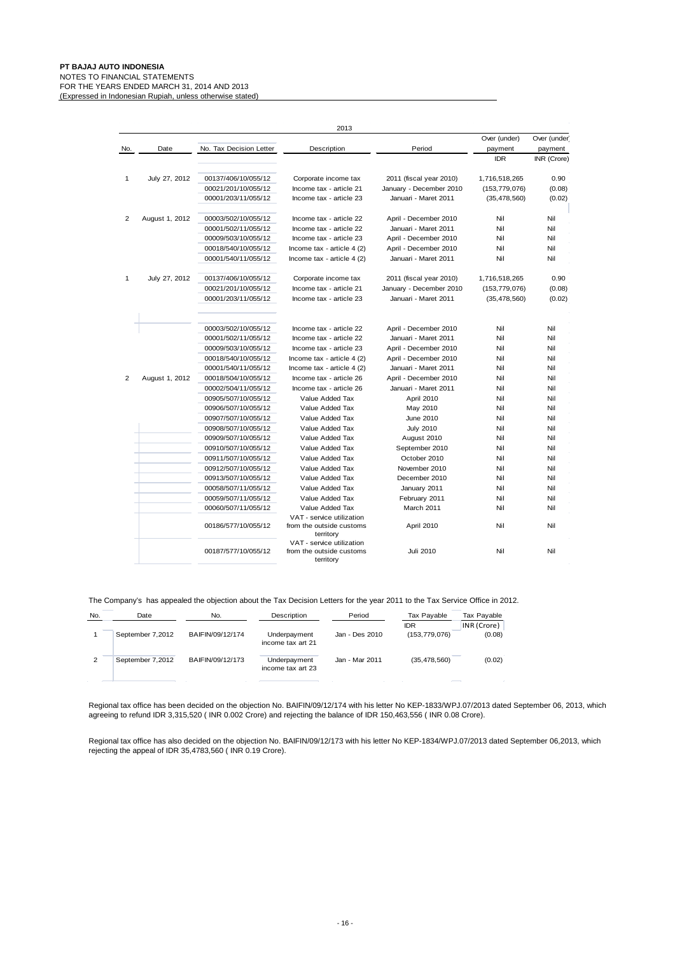|                |                |                         | 2013                                                               |                         |                 |              |
|----------------|----------------|-------------------------|--------------------------------------------------------------------|-------------------------|-----------------|--------------|
|                |                |                         |                                                                    |                         | Over (under)    | Over (under) |
| No.            | Date           | No. Tax Decision Letter | Description                                                        | Period                  | payment         | payment      |
|                |                |                         |                                                                    |                         | <b>IDR</b>      | INR (Crore)  |
| 1              | July 27, 2012  | 00137/406/10/055/12     | Corporate income tax                                               | 2011 (fiscal year 2010) | 1,716,518,265   | 0.90         |
|                |                | 00021/201/10/055/12     | Income tax - article 21                                            | January - December 2010 | (153, 779, 076) | (0.08)       |
|                |                | 00001/203/11/055/12     | Income tax - article 23                                            | Januari - Maret 2011    | (35, 478, 560)  | (0.02)       |
| $\overline{2}$ | August 1, 2012 | 00003/502/10/055/12     | Income tax - article 22                                            | April - December 2010   | Nil             | Nil          |
|                |                | 00001/502/11/055/12     | Income tax - article 22                                            | Januari - Maret 2011    | Nil             | Nil          |
|                |                | 00009/503/10/055/12     | Income tax - article 23                                            | April - December 2010   | Nil             | Nil          |
|                |                | 00018/540/10/055/12     | Income tax - article $4(2)$                                        | April - December 2010   | Nil             | Nil          |
|                |                | 00001/540/11/055/12     | Income tax - article 4 (2)                                         | Januari - Maret 2011    | Nil             | Nil          |
| 1              | July 27, 2012  | 00137/406/10/055/12     | Corporate income tax                                               | 2011 (fiscal year 2010) | 1,716,518,265   | 0.90         |
|                |                | 00021/201/10/055/12     | Income tax - article 21                                            | January - December 2010 | (153, 779, 076) | (0.08)       |
|                |                | 00001/203/11/055/12     | Income tax - article 23                                            | Januari - Maret 2011    | (35, 478, 560)  | (0.02)       |
|                |                | 00003/502/10/055/12     | Income tax - article 22                                            | April - December 2010   | Nil             | Nil          |
|                |                | 00001/502/11/055/12     | Income tax - article 22                                            | Januari - Maret 2011    | Nil             | Nil          |
|                |                | 00009/503/10/055/12     | Income tax - article 23                                            | April - December 2010   | Nil             | Nil          |
|                |                | 00018/540/10/055/12     | Income tax - article 4 (2)                                         | April - December 2010   | Nil             | Nil          |
|                |                | 00001/540/11/055/12     | Income tax - article 4 (2)                                         | Januari - Maret 2011    | Nil             | Nil          |
| 2              | August 1, 2012 | 00018/504/10/055/12     | Income tax - article 26                                            | April - December 2010   | Nil             | Nil          |
|                |                | 00002/504/11/055/12     | Income tax - article 26                                            | Januari - Maret 2011    | Nil             | Nil          |
|                |                | 00905/507/10/055/12     | Value Added Tax                                                    | April 2010              | Nil             | Nil          |
|                |                | 00906/507/10/055/12     | Value Added Tax                                                    | May 2010                | Nil             | Nil          |
|                |                | 00907/507/10/055/12     | Value Added Tax                                                    | June 2010               | Nil             | Nil          |
|                |                | 00908/507/10/055/12     | Value Added Tax                                                    | <b>July 2010</b>        | Nil             | Nil          |
|                |                | 00909/507/10/055/12     | Value Added Tax                                                    | August 2010             | Nil             | Nil          |
|                |                | 00910/507/10/055/12     | Value Added Tax                                                    | September 2010          | Nil             | Nil          |
|                |                | 00911/507/10/055/12     | Value Added Tax                                                    | October 2010            | Nil             | Nil          |
|                |                | 00912/507/10/055/12     | Value Added Tax                                                    | November 2010           | Nil             | Nil          |
|                |                | 00913/507/10/055/12     | Value Added Tax                                                    | December 2010           | Nil             | Nil          |
|                |                | 00058/507/11/055/12     | Value Added Tax                                                    | January 2011            | Nil             | Nil          |
|                |                | 00059/507/11/055/12     | Value Added Tax                                                    | February 2011           | Nil             | Nil          |
|                |                | 00060/507/11/055/12     | Value Added Tax                                                    | March 2011              | Nil             | Nil          |
|                |                | 00186/577/10/055/12     | VAT - service utilization<br>from the outside customs<br>territory | April 2010              | Nil             | Nil          |
|                |                | 00187/577/10/055/12     | VAT - service utilization<br>from the outside customs<br>territory | Juli 2010               | Nil             | Nil          |

The Company's has appealed the objection about the Tax Decision Letters for the year 2011 to the Tax Service Office in 2012.

| No.            | Date             | No.              | Description                       | Period         | Tax Payable     | Tax Payable |
|----------------|------------------|------------------|-----------------------------------|----------------|-----------------|-------------|
|                |                  |                  |                                   |                | <b>IDR</b>      | INR (Crore) |
|                | September 7,2012 | BAIFIN/09/12/174 | Underpayment<br>income tax art 21 | Jan - Des 2010 | (153, 779, 076) | (0.08)      |
| $\overline{2}$ | September 7,2012 | BAIFIN/09/12/173 | Underpayment<br>income tax art 23 | Jan - Mar 2011 | (35, 478, 560)  | (0.02)      |
|                |                  |                  |                                   |                |                 |             |

Regional tax office has been decided on the objection No. BAIFIN/09/12/174 with his letter No KEP-1833/WPJ.07/2013 dated September 06, 2013, which agreeing to refund IDR 3,315,520 ( INR 0.002 Crore) and rejecting the balance of IDR 150,463,556 ( INR 0.08 Crore).

Regional tax office has also decided on the objection No. BAIFIN/09/12/173 with his letter No KEP-1834/WPJ.07/2013 dated September 06,2013, which rejecting the appeal of IDR 35,4783,560 (INR 0.19 Crore).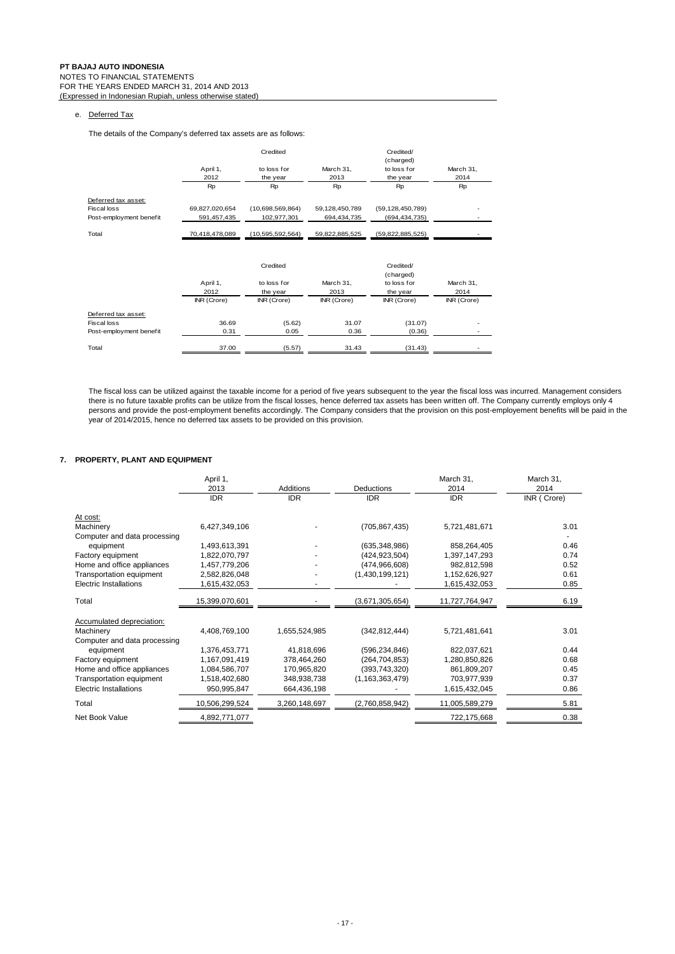## e. Deferred Tax

The details of the Company's deferred tax assets are as follows:

|                         |                  | Credited                |                   | Credited/<br>(charged)  |                   |
|-------------------------|------------------|-------------------------|-------------------|-------------------------|-------------------|
|                         | April 1,<br>2012 | to loss for<br>the year | March 31,<br>2013 | to loss for<br>the year | March 31,<br>2014 |
|                         | Rp               | Rp                      | Rp                | Rp                      | Rp                |
| Deferred tax asset:     |                  |                         |                   |                         |                   |
| <b>Fiscal loss</b>      | 69,827,020,654   | (10,698,569,864)        | 59,128,450,789    | (59, 128, 450, 789)     |                   |
| Post-employment benefit | 591,457,435      | 102,977,301             | 694,434,735       | (694, 434, 735)         |                   |
| Total                   | 70,418,478,089   | (10, 595, 592, 564)     | 59,822,885,525    | (59,822,885,525)        |                   |
|                         |                  | Credited                |                   | Credited/<br>(charged)  |                   |
|                         | April 1,         | to loss for             | March 31,         | to loss for             | March 31,         |
|                         | 2012             | the year                | 2013              | the year                | 2014              |
|                         | INR (Crore)      | INR (Crore)             | INR (Crore)       | INR (Crore)             | INR (Crore)       |
| Deferred tax asset:     |                  |                         |                   |                         |                   |
| <b>Fiscal loss</b>      | 36.69            | (5.62)                  | 31.07             | (31.07)                 |                   |
| Post-employment benefit | 0.31             | 0.05                    | 0.36              | (0.36)                  |                   |
| Total                   | 37.00            | (5.57)                  | 31.43             | (31.43)                 |                   |

The fiscal loss can be utilized against the taxable income for a period of five years subsequent to the year the fiscal loss was incurred. Management considers there is no future taxable profits can be utilize from the fiscal losses, hence deferred tax assets has been written off. The Company currently employs only 4 persons and provide the post-employment benefits accordingly. The Company considers that the provision on this post-employement benefits will be paid in the year of 2014/2015, hence no deferred tax assets to be provided on this provision.

## **7. PROPERTY, PLANT AND EQUIPMENT**

| April 1,                     |               |                    | March 31,      | March 31,<br>2014 |
|------------------------------|---------------|--------------------|----------------|-------------------|
| <b>IDR</b>                   | <b>IDR</b>    | <b>IDR</b>         | <b>IDR</b>     | INR (Crore)       |
|                              |               |                    |                |                   |
| 6,427,349,106                |               | (705, 867, 435)    | 5,721,481,671  | 3.01              |
| Computer and data processing |               |                    |                |                   |
| 1,493,613,391                |               | (635, 348, 986)    | 858,264,405    | 0.46              |
| 1,822,070,797                |               | (424, 923, 504)    | 1,397,147,293  | 0.74              |
| 1,457,779,206                |               | (474, 966, 608)    | 982,812,598    | 0.52              |
| 2,582,826,048                |               | (1,430,199,121)    | 1,152,626,927  | 0.61              |
| 1,615,432,053                |               |                    | 1,615,432,053  | 0.85              |
| 15,399,070,601               |               | (3,671,305,654)    | 11,727,764,947 | 6.19              |
|                              |               |                    |                |                   |
| 4.408.769.100                | 1,655,524,985 | (342, 812, 444)    | 5,721,481,641  | 3.01              |
| Computer and data processing |               |                    |                |                   |
| 1,376,453,771                | 41,818,696    | (596, 234, 846)    | 822,037,621    | 0.44              |
| 1,167,091,419                | 378,464,260   | (264, 704, 853)    | 1,280,850,826  | 0.68              |
| 1,084,586,707                | 170.965.820   | (393, 743, 320)    | 861,809,207    | 0.45              |
| 1,518,402,680                | 348,938,738   | (1, 163, 363, 479) | 703,977,939    | 0.37              |
| 950,995,847                  | 664,436,198   |                    | 1,615,432,045  | 0.86              |
| 10,506,299,524               | 3,260,148,697 | (2,760,858,942)    | 11,005,589,279 | 5.81              |
| 4,892,771,077                |               |                    | 722,175,668    | 0.38              |
|                              | 2013          | <b>Additions</b>   | Deductions     | 2014              |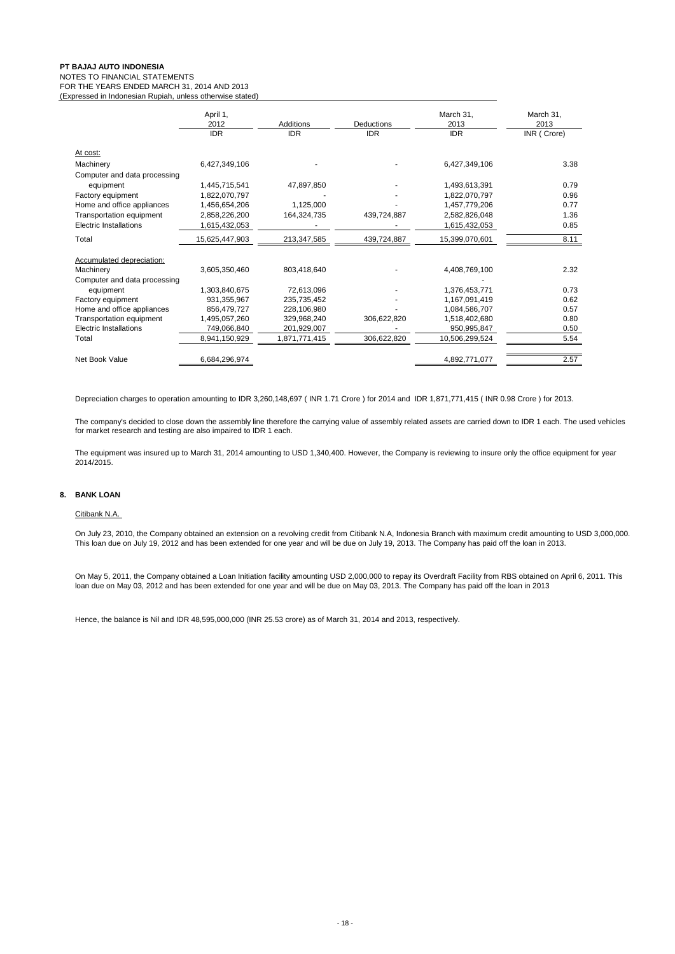## NOTES TO FINANCIAL STATEMENTS

FOR THE YEARS ENDED MARCH 31, 2014 AND 2013 (Expressed in Indonesian Rupiah, unless otherwise stated)

|                              | April 1,<br>2012<br><b>IDR</b> | Additions<br><b>IDR</b> | <b>Deductions</b><br><b>IDR</b> | March 31,<br>2013<br><b>IDR</b> | March 31,<br>2013<br>INR (Crore) |
|------------------------------|--------------------------------|-------------------------|---------------------------------|---------------------------------|----------------------------------|
| At cost:                     |                                |                         |                                 |                                 |                                  |
| Machinery                    | 6,427,349,106                  |                         |                                 | 6,427,349,106                   | 3.38                             |
| Computer and data processing |                                |                         |                                 |                                 |                                  |
| equipment                    | 1,445,715,541                  | 47,897,850              |                                 | 1,493,613,391                   | 0.79                             |
| Factory equipment            | 1.822.070.797                  |                         |                                 | 1.822.070.797                   | 0.96                             |
| Home and office appliances   | 1,456,654,206                  | 1,125,000               |                                 | 1,457,779,206                   | 0.77                             |
| Transportation equipment     | 2,858,226,200                  | 164,324,735             | 439,724,887                     | 2,582,826,048                   | 1.36                             |
| Electric Installations       | 1,615,432,053                  |                         |                                 | 1,615,432,053                   | 0.85                             |
| Total                        | 15,625,447,903                 | 213,347,585             | 439,724,887                     | 15,399,070,601                  | 8.11                             |
| Accumulated depreciation:    |                                |                         |                                 |                                 |                                  |
| Machinery                    | 3,605,350,460                  | 803.418.640             |                                 | 4,408,769,100                   | 2.32                             |
| Computer and data processing |                                |                         |                                 |                                 |                                  |
| equipment                    | 1,303,840,675                  | 72,613,096              |                                 | 1,376,453,771                   | 0.73                             |
| Factory equipment            | 931.355.967                    | 235,735,452             |                                 | 1,167,091,419                   | 0.62                             |
| Home and office appliances   | 856,479,727                    | 228,106,980             |                                 | 1,084,586,707                   | 0.57                             |
| Transportation equipment     | 1,495,057,260                  | 329,968,240             | 306,622,820                     | 1,518,402,680                   | 0.80                             |
| Electric Installations       | 749,066,840                    | 201,929,007             |                                 | 950,995,847                     | 0.50                             |
| Total                        | 8,941,150,929                  | 1,871,771,415           | 306,622,820                     | 10,506,299,524                  | 5.54                             |
|                              |                                |                         |                                 |                                 |                                  |
| Net Book Value               | 6,684,296,974                  |                         |                                 | 4,892,771,077                   | 2.57                             |

Depreciation charges to operation amounting to IDR 3,260,148,697 ( INR 1.71 Crore ) for 2014 and IDR 1,871,771,415 ( INR 0.98 Crore ) for 2013.

The company's decided to close down the assembly line therefore the carrying value of assembly related assets are carried down to IDR 1 each. The used vehicles for market research and testing are also impaired to IDR 1 each.

The equipment was insured up to March 31, 2014 amounting to USD 1,340,400. However, the Company is reviewing to insure only the office equipment for year 2014/2015.

## **8. BANK LOAN**

## Citibank N.A.

On July 23, 2010, the Company obtained an extension on a revolving credit from Citibank N.A, Indonesia Branch with maximum credit amounting to USD 3,000,000. This loan due on July 19, 2012 and has been extended for one year and will be due on July 19, 2013. The Company has paid off the loan in 2013.

On May 5, 2011, the Company obtained a Loan Initiation facility amounting USD 2,000,000 to repay its Overdraft Facility from RBS obtained on April 6, 2011. This loan due on May 03, 2012 and has been extended for one year and will be due on May 03, 2013. The Company has paid off the loan in 2013

Hence, the balance is Nil and IDR 48,595,000,000 (INR 25.53 crore) as of March 31, 2014 and 2013, respectively.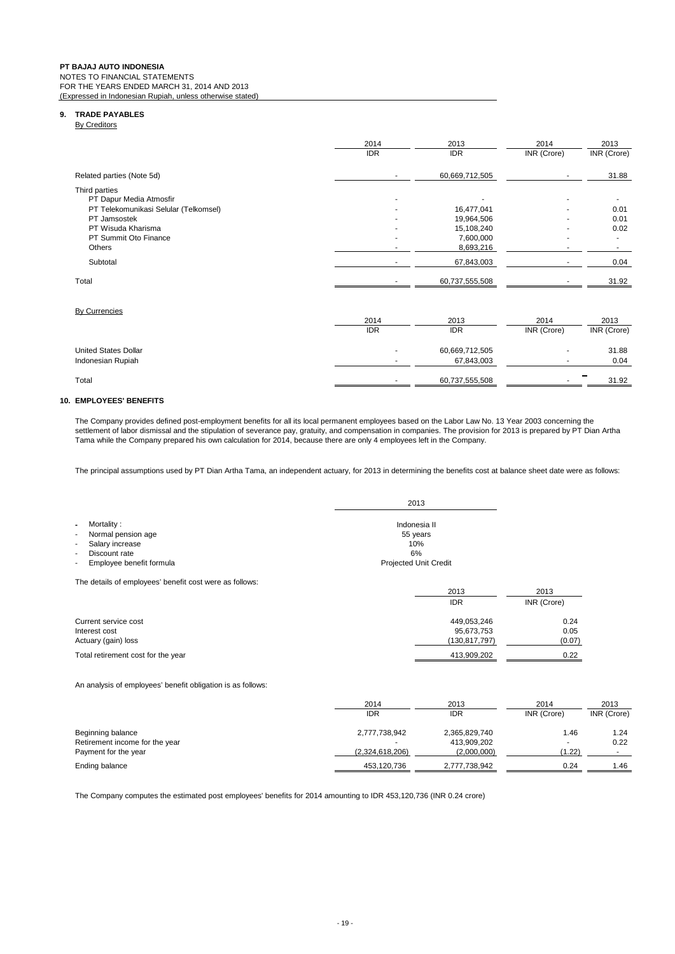NOTES TO FINANCIAL STATEMENTS FOR THE YEARS ENDED MARCH 31, 2014 AND 2013

(Expressed in Indonesian Rupiah, unless otherwise stated)

## **9. TRADE PAYABLES**

**By Creditors** 

|                                          | 2014<br><b>IDR</b> | 2013<br><b>IDR</b> | 2014<br>INR (Crore) | 2013<br>INR (Crore) |
|------------------------------------------|--------------------|--------------------|---------------------|---------------------|
| Related parties (Note 5d)                |                    | 60,669,712,505     |                     | 31.88               |
| Third parties<br>PT Dapur Media Atmosfir |                    |                    |                     |                     |
| PT Telekomunikasi Selular (Telkomsel)    |                    | 16,477,041         | ۰                   | 0.01                |
| PT Jamsostek                             |                    | 19,964,506         | ۰                   | 0.01                |
| PT Wisuda Kharisma                       |                    | 15,108,240         | ۰                   | 0.02                |
| PT Summit Oto Finance                    |                    | 7,600,000          | ۰                   |                     |
| Others                                   |                    | 8,693,216          |                     |                     |
| Subtotal                                 |                    | 67,843,003         |                     | 0.04                |
| Total                                    |                    | 60,737,555,508     |                     | 31.92               |

## By Currencies

|                             | 2014       | 2013           | 2014        | 2013                      |
|-----------------------------|------------|----------------|-------------|---------------------------|
|                             | <b>IDR</b> | IDR            | INR (Crore) | INR (Crore)               |
| <b>United States Dollar</b> |            | 60,669,712,505 |             | 31.88                     |
| Indonesian Rupiah           |            | 67,843,003     |             | 0.04                      |
| Total                       |            | 60,737,555,508 |             | $\hspace{0.5cm}$<br>31.92 |

## **10. EMPLOYEES' BENEFITS**

The Company provides defined post-employment benefits for all its local permanent employees based on the Labor Law No. 13 Year 2003 concerning the settlement of labor dismissal and the stipulation of severance pay, gratuity, and compensation in companies. The provision for 2013 is prepared by PT Dian Artha Tama while the Company prepared his own calculation for 2014, because there are only 4 employees left in the Company.

The principal assumptions used by PT Dian Artha Tama, an independent actuary, for 2013 in determining the benefits cost at balance sheet date were as follows:

|                                                                                                                                                                                                             | 2013                                                                  |
|-------------------------------------------------------------------------------------------------------------------------------------------------------------------------------------------------------------|-----------------------------------------------------------------------|
| Mortality:<br>$\blacksquare$<br>Normal pension age<br>$\overline{\phantom{a}}$<br>Salary increase<br>٠<br>Discount rate<br>$\overline{\phantom{a}}$<br>Employee benefit formula<br>$\overline{\phantom{a}}$ | Indonesia II<br>55 years<br>10%<br>6%<br><b>Projected Unit Credit</b> |
| The details of employees' benefit cost were as follows:                                                                                                                                                     | 2013<br><b>IDR</b>                                                    |

| Current service cost               | 449.053.246   | 0.24   |
|------------------------------------|---------------|--------|
| Interest cost                      | 95.673.753    | 0.05   |
| Actuary (gain) loss                | (130.817.797) | (0.07) |
| Total retirement cost for the year | 413.909.202   | 0.22   |

An analysis of employees' benefit obligation is as follows:

|                                | 2014            | 2013          | 2014        | 2013        |
|--------------------------------|-----------------|---------------|-------------|-------------|
|                                | <b>IDR</b>      | <b>IDR</b>    | INR (Crore) | INR (Crore) |
| Beginning balance              | 2,777,738,942   | 2,365,829,740 | 1.46        | 1.24        |
| Retirement income for the year |                 | 413,909,202   |             | 0.22        |
| Payment for the year           | (2,324,618,206) | (2,000,000)   | (1.22)      |             |
| Ending balance                 | 453,120,736     | 2,777,738,942 | 0.24        | 1.46        |

2013 2013 IDR INR (Crore)

The Company computes the estimated post employees' benefits for 2014 amounting to IDR 453,120,736 (INR 0.24 crore)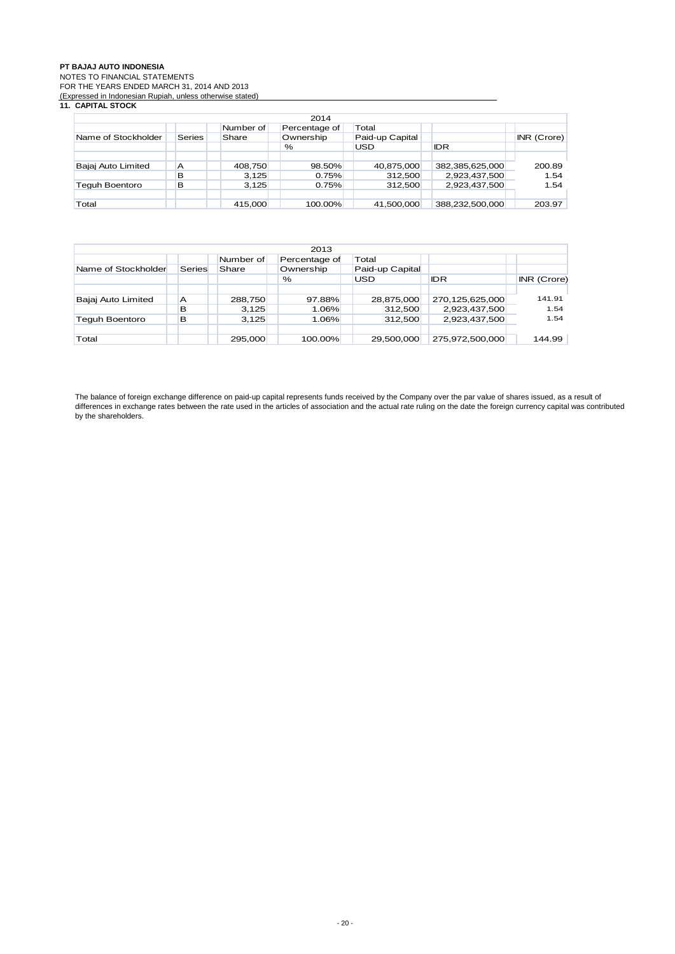NOTES TO FINANCIAL STATEMENTS

FOR THE YEARS ENDED MARCH 31, 2014 AND 2013

#### (Expressed in Indonesian Rupiah, unless otherwise stated) **11. CAPITAL STOCK**

| 2014                                |        |         |           |                 |                 |             |  |  |
|-------------------------------------|--------|---------|-----------|-----------------|-----------------|-------------|--|--|
| Number of<br>Total<br>Percentage of |        |         |           |                 |                 |             |  |  |
| Name of Stockholder                 | Series | Share   | Ownership | Paid-up Capital |                 | INR (Crore) |  |  |
|                                     |        |         | $\%$      | USD             | <b>IDR</b>      |             |  |  |
|                                     |        |         |           |                 |                 |             |  |  |
| Bajaj Auto Limited                  | A      | 408,750 | 98.50%    | 40,875,000      | 382,385,625,000 | 200.89      |  |  |
|                                     | в      | 3,125   | 0.75%     | 312.500         | 2,923,437,500   | 1.54        |  |  |
| <b>Teguh Boentoro</b>               | B      | 3,125   | 0.75%     | 312.500         | 2,923,437,500   | 1.54        |  |  |
|                                     |        |         |           |                 |                 |             |  |  |
| Total                               |        | 415,000 | 100.00%   | 41.500.000      | 388.232.500.000 | 203.97      |  |  |

| 2013                                |        |         |           |                 |                 |             |  |  |
|-------------------------------------|--------|---------|-----------|-----------------|-----------------|-------------|--|--|
| Number of<br>Total<br>Percentage of |        |         |           |                 |                 |             |  |  |
| Name of Stockholder                 | Series | Share   | Ownership | Paid-up Capital |                 |             |  |  |
|                                     |        |         | %         | <b>USD</b>      | <b>IDR</b>      | INR (Crore) |  |  |
|                                     |        |         |           |                 |                 |             |  |  |
| Bajaj Auto Limited                  | A      | 288,750 | 97.88%    | 28,875,000      | 270,125,625,000 | 141.91      |  |  |
|                                     | в      | 3,125   | 1.06%     | 312,500         | 2,923,437,500   | 1.54        |  |  |
| Teguh Boentoro                      | в      | 3.125   | 1.06%     | 312.500         | 2,923,437,500   | 1.54        |  |  |
|                                     |        |         |           |                 |                 |             |  |  |
| Total                               |        | 295,000 | 100.00%   | 29,500,000      | 275,972,500,000 | 144.99      |  |  |

The balance of foreign exchange difference on paid-up capital represents funds received by the Company over the par value of shares issued, as a result of differences in exchange rates between the rate used in the articles of association and the actual rate ruling on the date the foreign currency capital was contributed by the shareholders.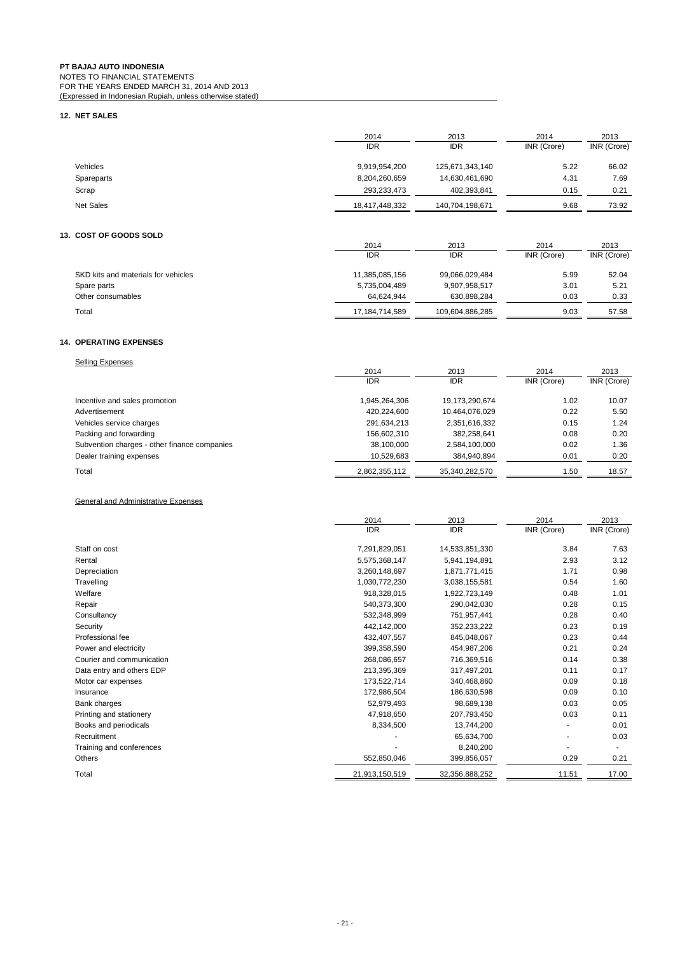## **12. NET SALES**

|                  | 2014<br><b>IDR</b> | 2013<br><b>IDR</b> | 2014<br>INR (Crore) | 2013<br>INR (Crore) |
|------------------|--------------------|--------------------|---------------------|---------------------|
| <b>Vehicles</b>  | 9,919,954,200      | 125,671,343,140    | 5.22                | 66.02               |
| Spareparts       | 8,204,260,659      | 14,630,461,690     | 4.31                | 7.69                |
| Scrap            | 293.233.473        | 402,393,841        | 0.15                | 0.21                |
| <b>Net Sales</b> | 18,417,448,332     | 140,704,198,671    | 9.68                | 73.92               |

## **13. COST OF GOODS SOLD**

| <u> 999 - 91 999 995 995</u>        |                |                 |             |             |
|-------------------------------------|----------------|-----------------|-------------|-------------|
|                                     | 2014           | 2013            | 2014        | 2013        |
|                                     | <b>IDR</b>     | <b>IDR</b>      | INR (Crore) | INR (Crore) |
| SKD kits and materials for vehicles | 11,385,085,156 | 99,066,029,484  | 5.99        | 52.04       |
| Spare parts                         | 5,735,004,489  | 9,907,958,517   | 3.01        | 5.21        |
| Other consumables                   | 64.624.944     | 630.898.284     | 0.03        | 0.33        |
| Total                               | 17,184,714,589 | 109,604,886,285 | 9.03        | 57.58       |

## **14. OPERATING EXPENSES**

| <b>Selling Expenses</b>                      |               |                |             |             |
|----------------------------------------------|---------------|----------------|-------------|-------------|
|                                              | 2014          | 2013           | 2014        | 2013        |
|                                              | <b>IDR</b>    | <b>IDR</b>     | INR (Crore) | INR (Crore) |
| Incentive and sales promotion                | 1,945,264,306 | 19,173,290,674 | 1.02        | 10.07       |
| Advertisement                                | 420.224.600   | 10,464,076,029 | 0.22        | 5.50        |
| Vehicles service charges                     | 291,634,213   | 2,351,616,332  | 0.15        | 1.24        |
| Packing and forwarding                       | 156,602,310   | 382.258.641    | 0.08        | 0.20        |
| Subvention charges - other finance companies | 38,100,000    | 2,584,100,000  | 0.02        | 1.36        |
| Dealer training expenses                     | 10,529,683    | 384.940.894    | 0.01        | 0.20        |
| Total                                        | 2,862,355,112 | 35,340,282,570 | 1.50        | 18.57       |

## General and Administrative Expenses

|                           | 2014           | 2013           | 2014        | 2013        |
|---------------------------|----------------|----------------|-------------|-------------|
|                           | <b>IDR</b>     | <b>IDR</b>     | INR (Crore) | INR (Crore) |
| Staff on cost             | 7,291,829,051  | 14,533,851,330 | 3.84        | 7.63        |
| Rental                    | 5,575,368,147  | 5,941,194,891  | 2.93        | 3.12        |
| Depreciation              | 3,260,148,697  | 1,871,771,415  | 1.71        | 0.98        |
| Travelling                | 1,030,772,230  | 3,038,155,581  | 0.54        | 1.60        |
| Welfare                   | 918,328,015    | 1,922,723,149  | 0.48        | 1.01        |
| Repair                    | 540,373,300    | 290,042,030    | 0.28        | 0.15        |
| Consultancy               | 532,348,999    | 751,957,441    | 0.28        | 0.40        |
| Security                  | 442,142,000    | 352,233,222    | 0.23        | 0.19        |
| Professional fee          | 432,407,557    | 845,048,067    | 0.23        | 0.44        |
| Power and electricity     | 399,358,590    | 454,987,206    | 0.21        | 0.24        |
| Courier and communication | 268,086,657    | 716,369,516    | 0.14        | 0.38        |
| Data entry and others EDP | 213,395,369    | 317,497,201    | 0.11        | 0.17        |
| Motor car expenses        | 173,522,714    | 340,468,860    | 0.09        | 0.18        |
| Insurance                 | 172,986,504    | 186,630,598    | 0.09        | 0.10        |
| Bank charges              | 52,979,493     | 98,689,138     | 0.03        | 0.05        |
| Printing and stationery   | 47,918,650     | 207,793,450    | 0.03        | 0.11        |
| Books and periodicals     | 8,334,500      | 13,744,200     |             | 0.01        |
| Recruitment               |                | 65,634,700     |             | 0.03        |
| Training and conferences  |                | 8,240,200      |             |             |
| Others                    | 552,850,046    | 399,856,057    | 0.29        | 0.21        |
| Total                     | 21,913,150,519 | 32,356,888,252 | 11.51       | 17.00       |